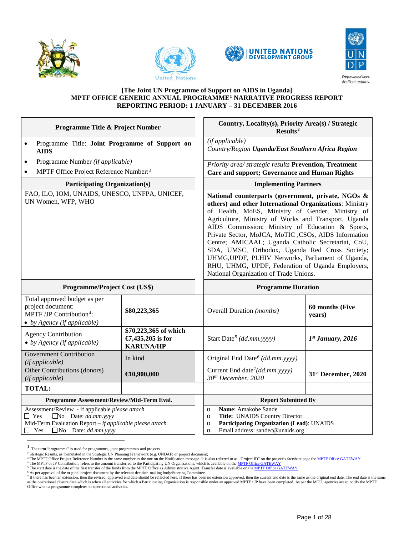







#### **[The Joint UN Programme of Support on AIDS in Uganda] MPTF OFFICE GENERIC ANNUAL PROGRAMME[1](#page-0-0) NARRATIVE PROGRESS REPORT REPORTING PERIOD: 1 JANUARY – 31 DECEMBER 2016**

| <b>Programme Title &amp; Project Number</b>                                                                                      |                                                                | Country, Locality(s), Priority Area(s) / Strategic<br>Results <sup>2</sup>                                                                                                                                                                                                                                                                                                                                                                                                                                                                                                                       |                           |
|----------------------------------------------------------------------------------------------------------------------------------|----------------------------------------------------------------|--------------------------------------------------------------------------------------------------------------------------------------------------------------------------------------------------------------------------------------------------------------------------------------------------------------------------------------------------------------------------------------------------------------------------------------------------------------------------------------------------------------------------------------------------------------------------------------------------|---------------------------|
| Programme Title: Joint Programme of Support on<br>$\bullet$<br><b>AIDS</b>                                                       |                                                                | (if applicable)<br>Country/Region Uganda/East Southern Africa Region                                                                                                                                                                                                                                                                                                                                                                                                                                                                                                                             |                           |
| Programme Number (if applicable)<br>$\bullet$                                                                                    |                                                                | Priority area/ strategic results Prevention, Treatment                                                                                                                                                                                                                                                                                                                                                                                                                                                                                                                                           |                           |
| MPTF Office Project Reference Number: <sup>3</sup><br>$\bullet$                                                                  |                                                                | <b>Care and support; Governance and Human Rights</b>                                                                                                                                                                                                                                                                                                                                                                                                                                                                                                                                             |                           |
| <b>Participating Organization(s)</b>                                                                                             |                                                                | <b>Implementing Partners</b>                                                                                                                                                                                                                                                                                                                                                                                                                                                                                                                                                                     |                           |
| FAO, ILO, IOM, UNAIDS, UNESCO, UNFPA, UNICEF,<br>UN Women, WFP, WHO                                                              |                                                                | National counterparts (government, private, NGOs &<br>others) and other International Organizations: Ministry<br>of Health, MoES, Ministry of Gender, Ministry of<br>Agriculture, Ministry of Works and Transport, Uganda<br>AIDS Commission; Ministry of Education & Sports,<br>Private Sector, MoJCA, MoTIC ,CSOs, AIDS Information<br>Centre; AMICAAL; Uganda Catholic Secretariat, CoU,<br>SDA, UMSC, Orthodox, Uganda Red Cross Society;<br>UHMG, UPDF, PLHIV Networks, Parliament of Uganda,<br>RHU, UHMG, UPDF, Federation of Uganda Employers,<br>National Organization of Trade Unions. |                           |
|                                                                                                                                  |                                                                |                                                                                                                                                                                                                                                                                                                                                                                                                                                                                                                                                                                                  |                           |
| Programme/Project Cost (US\$)                                                                                                    |                                                                | <b>Programme Duration</b>                                                                                                                                                                                                                                                                                                                                                                                                                                                                                                                                                                        |                           |
| Total approved budget as per<br>project document:<br>MPTF /JP Contribution <sup>4</sup> :<br>$\bullet$ by Agency (if applicable) | \$80,223,365                                                   | Overall Duration (months)                                                                                                                                                                                                                                                                                                                                                                                                                                                                                                                                                                        | 60 months (Five<br>years) |
| <b>Agency Contribution</b><br>$\bullet$ by Agency (if applicable)                                                                | \$70,223,365 of which<br>€7,435,205 is for<br><b>KARUNA/HP</b> | Start Date <sup>5</sup> (dd.mm.yyyy)                                                                                                                                                                                                                                                                                                                                                                                                                                                                                                                                                             | $1st$ January, 2016       |
| <b>Government Contribution</b><br>(if applicable)                                                                                | In kind                                                        | Original End Date <sup>6</sup> (dd.mm.yyyy)                                                                                                                                                                                                                                                                                                                                                                                                                                                                                                                                                      |                           |
| Other Contributions (donors)<br>(if applicable)                                                                                  | $\bigoplus$ 0,900,000                                          | Current End date <sup>7</sup> (dd.mm.yyyy)<br>30th December, 2020                                                                                                                                                                                                                                                                                                                                                                                                                                                                                                                                | 31st December, 2020       |
| <b>TOTAL:</b>                                                                                                                    |                                                                |                                                                                                                                                                                                                                                                                                                                                                                                                                                                                                                                                                                                  |                           |
| Programme Assessment/Review/Mid-Term Eval.<br>Assessment/Review - if applicable please attach                                    |                                                                | <b>Report Submitted By</b><br>Name: Amakobe Sande                                                                                                                                                                                                                                                                                                                                                                                                                                                                                                                                                |                           |

<span id="page-0-0"></span>

<span id="page-0-1"></span>

The term "programme" is used for programmes, joint programmes and projects.<br><sup>2</sup> Strategic Results, as formulated in the Strategic UN Planning Framework (e.g. UNDAF) or project document;<br><sup>3</sup> The MPTF Office Project Referenc

<span id="page-0-4"></span><span id="page-0-3"></span><span id="page-0-2"></span><sup>&</sup>lt;sup>4</sup> The MPTF or JP Contribution, refers to the amount transferred to the Participating UN Organizations, which is available on the <u>MPTF Office GATEWAY</u><br><sup>5</sup> The start date is the date of the first transfer of the funds fro

<span id="page-0-6"></span><span id="page-0-5"></span><sup>&</sup>lt;sup>7</sup> If there has been an extension, then the revised, approved end date should be reflected here. If there has been no extension approved, then the current end date is the same as the original end date. The end date is the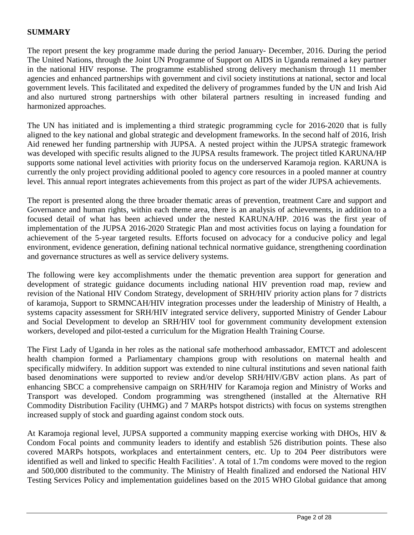# **SUMMARY**

The report present the key programme made during the period January- December, 2016. During the period The United Nations, through the Joint UN Programme of Support on AIDS in Uganda remained a key partner in the national HIV response. The programme established strong delivery mechanism through 11 member agencies and enhanced partnerships with government and civil society institutions at national, sector and local government levels. This facilitated and expedited the delivery of programmes funded by the UN and Irish Aid and also nurtured strong partnerships with other bilateral partners resulting in increased funding and harmonized approaches.

The UN has initiated and is implementing a third strategic programming cycle for 2016-2020 that is fully aligned to the key national and global strategic and development frameworks. In the second half of 2016, Irish Aid renewed her funding partnership with JUPSA. A nested project within the JUPSA strategic framework was developed with specific results aligned to the JUPSA results framework. The project titled KARUNA/HP supports some national level activities with priority focus on the underserved Karamoja region. KARUNA is currently the only project providing additional pooled to agency core resources in a pooled manner at country level. This annual report integrates achievements from this project as part of the wider JUPSA achievements.

The report is presented along the three broader thematic areas of prevention, treatment Care and support and Governance and human rights, within each theme area, there is an analysis of achievements, in addition to a focused detail of what has been achieved under the nested KARUNA/HP. 2016 was the first year of implementation of the JUPSA 2016-2020 Strategic Plan and most activities focus on laying a foundation for achievement of the 5-year targeted results. Efforts focused on advocacy for a conducive policy and legal environment, evidence generation, defining national technical normative guidance, strengthening coordination and governance structures as well as service delivery systems.

The following were key accomplishments under the thematic prevention area support for generation and development of strategic guidance documents including national HIV prevention road map, review and revision of the National HIV Condom Strategy, development of SRH/HIV priority action plans for 7 districts of karamoja, Support to SRMNCAH/HIV integration processes under the leadership of Ministry of Health, a systems capacity assessment for SRH/HIV integrated service delivery, supported Ministry of Gender Labour and Social Development to develop an SRH/HIV tool for government community development extension workers, developed and pilot-tested a curriculum for the Migration Health Training Course.

The First Lady of Uganda in her roles as the national safe motherhood ambassador, EMTCT and adolescent health champion formed a Parliamentary champions group with resolutions on maternal health and specifically midwifery. In addition support was extended to nine cultural institutions and seven national faith based denominations were supported to review and/or develop SRH/HIV/GBV action plans. As part of enhancing SBCC a comprehensive campaign on SRH/HIV for Karamoja region and Ministry of Works and Transport was developed. Condom programming was strengthened (installed at the Alternative RH Commodity Distribution Facility (UHMG) and 7 MARPs hotspot districts) with focus on systems strengthen increased supply of stock and guarding against condom stock outs.

At Karamoja regional level, JUPSA supported a community mapping exercise working with DHOs, HIV & Condom Focal points and community leaders to identify and establish 526 distribution points. These also covered MARPs hotspots, workplaces and entertainment centers, etc. Up to 204 Peer distributors were identified as well and linked to specific Health Facilities'. A total of 1.7m condoms were moved to the region and 500,000 distributed to the community. The Ministry of Health finalized and endorsed the National HIV Testing Services Policy and implementation guidelines based on the 2015 WHO Global guidance that among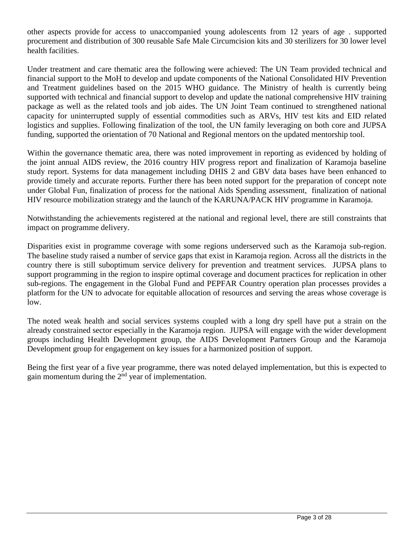other aspects provide for access to unaccompanied young adolescents from 12 years of age . supported procurement and distribution of 300 reusable Safe Male Circumcision kits and 30 sterilizers for 30 lower level health facilities.

Under treatment and care thematic area the following were achieved: The UN Team provided technical and financial support to the MoH to develop and update components of the National Consolidated HIV Prevention and Treatment guidelines based on the 2015 WHO guidance. The Ministry of health is currently being supported with technical and financial support to develop and update the national comprehensive HIV training package as well as the related tools and job aides. The UN Joint Team continued to strengthened national capacity for uninterrupted supply of essential commodities such as ARVs, HIV test kits and EID related logistics and supplies. Following finalization of the tool, the UN family leveraging on both core and JUPSA funding, supported the orientation of 70 National and Regional mentors on the updated mentorship tool.

Within the governance thematic area, there was noted improvement in reporting as evidenced by holding of the joint annual AIDS review, the 2016 country HIV progress report and finalization of Karamoja baseline study report. Systems for data management including DHIS 2 and GBV data bases have been enhanced to provide timely and accurate reports. Further there has been noted support for the preparation of concept note under Global Fun, finalization of process for the national Aids Spending assessment, finalization of national HIV resource mobilization strategy and the launch of the KARUNA/PACK HIV programme in Karamoja.

Notwithstanding the achievements registered at the national and regional level, there are still constraints that impact on programme delivery.

Disparities exist in programme coverage with some regions underserved such as the Karamoja sub-region. The baseline study raised a number of service gaps that exist in Karamoja region. Across all the districts in the country there is still suboptimum service delivery for prevention and treatment services. JUPSA plans to support programming in the region to inspire optimal coverage and document practices for replication in other sub-regions. The engagement in the Global Fund and PEPFAR Country operation plan processes provides a platform for the UN to advocate for equitable allocation of resources and serving the areas whose coverage is low.

The noted weak health and social services systems coupled with a long dry spell have put a strain on the already constrained sector especially in the Karamoja region. JUPSA will engage with the wider development groups including Health Development group, the AIDS Development Partners Group and the Karamoja Development group for engagement on key issues for a harmonized position of support.

Being the first year of a five year programme, there was noted delayed implementation, but this is expected to gain momentum during the  $2<sup>nd</sup>$  year of implementation.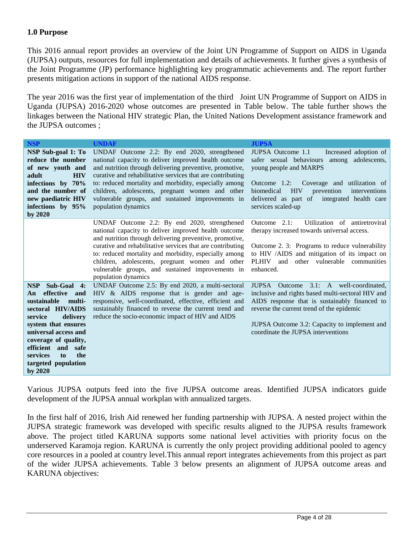### **1.0 Purpose**

This 2016 annual report provides an overview of the Joint UN Programme of Support on AIDS in Uganda (JUPSA) outputs, resources for full implementation and details of achievements. It further gives a synthesis of the Joint Programme (JP) performance highlighting key programmatic achievements and. The report further presents mitigation actions in support of the national AIDS response.

The year 2016 was the first year of implementation of the third Joint UN Programme of Support on AIDS in Uganda (JUPSA) 2016-2020 whose outcomes are presented in Table below. The table further shows the linkages between the National HIV strategic Plan, the United Nations Development assistance framework and the JUPSA outcomes ;

| <b>NSP</b>                                                                                                                                                                                                                                                                | <b>UNDAF</b>                                                                                                                                                                                                                                                                                                                                                                                                         | <b>JUPSA</b>                                                                                                                                                                                                                                                                                         |
|---------------------------------------------------------------------------------------------------------------------------------------------------------------------------------------------------------------------------------------------------------------------------|----------------------------------------------------------------------------------------------------------------------------------------------------------------------------------------------------------------------------------------------------------------------------------------------------------------------------------------------------------------------------------------------------------------------|------------------------------------------------------------------------------------------------------------------------------------------------------------------------------------------------------------------------------------------------------------------------------------------------------|
| NSP Sub-goal 1: To<br>reduce the number<br>of new youth and<br><b>HIV</b><br>adult<br>infections by 70%<br>and the number of<br>new paediatric HIV<br>infections by 95%<br>by 2020                                                                                        | UNDAF Outcome 2.2: By end 2020, strengthened<br>national capacity to deliver improved health outcome<br>and nutrition through delivering preventive, promotive,<br>curative and rehabilitative services that are contributing<br>to: reduced mortality and morbidity, especially among<br>children, adolescents, pregnant women and other<br>vulnerable groups, and sustained improvements in<br>population dynamics | JUPSA Outcome 1.1<br>Increased adoption of<br>safer sexual behaviours among<br>adolescents,<br>young people and MARPS<br>Outcome 1.2: Coverage and utilization of<br><b>HIV</b><br>biomedical<br>prevention<br>interventions<br>delivered as part of<br>integrated health care<br>services scaled-up |
|                                                                                                                                                                                                                                                                           | UNDAF Outcome 2.2: By end 2020, strengthened<br>national capacity to deliver improved health outcome<br>and nutrition through delivering preventive, promotive,<br>curative and rehabilitative services that are contributing<br>to: reduced mortality and morbidity, especially among<br>children, adolescents, pregnant women and other<br>vulnerable groups, and sustained improvements in<br>population dynamics | Outcome 2.1:<br>Utilization of antiretroviral<br>therapy increased towards universal access.<br>Outcome 2. 3: Programs to reduce vulnerability<br>to HIV /AIDS and mitigation of its impact on<br><b>PLHIV</b><br>and<br>other vulnerable<br>communities<br>enhanced.                                |
| NSP Sub-Goal 4:<br>effective<br>and<br>An<br>multi-<br>sustainable<br>sectoral HIV/AIDS<br>delivery<br>service<br>system that ensures<br>universal access and<br>coverage of quality,<br>efficient and<br>safe<br>the<br>services<br>to<br>targeted population<br>by 2020 | UNDAF Outcome 2.5: By end 2020, a multi-sectoral<br>HIV & AIDS response that is gender and age-<br>responsive, well-coordinated, effective, efficient and<br>sustainably financed to reverse the current trend and<br>reduce the socio-economic impact of HIV and AIDS                                                                                                                                               | JUPSA Outcome 3.1: A well-coordinated,<br>inclusive and rights based multi-sectoral HIV and<br>AIDS response that is sustainably financed to<br>reverse the current trend of the epidemic<br>JUPSA Outcome 3.2: Capacity to implement and<br>coordinate the JUPSA interventions                      |

Various JUPSA outputs feed into the five JUPSA outcome areas. Identified JUPSA indicators guide development of the JUPSA annual workplan with annualized targets.

In the first half of 2016, Irish Aid renewed her funding partnership with JUPSA. A nested project within the JUPSA strategic framework was developed with specific results aligned to the JUPSA results framework above. The project titled KARUNA supports some national level activities with priority focus on the underserved Karamoja region. KARUNA is currently the only project providing additional pooled to agency core resources in a pooled at country level.This annual report integrates achievements from this project as part of the wider JUPSA achievements. Table 3 below presents an alignment of JUPSA outcome areas and KARUNA objectives: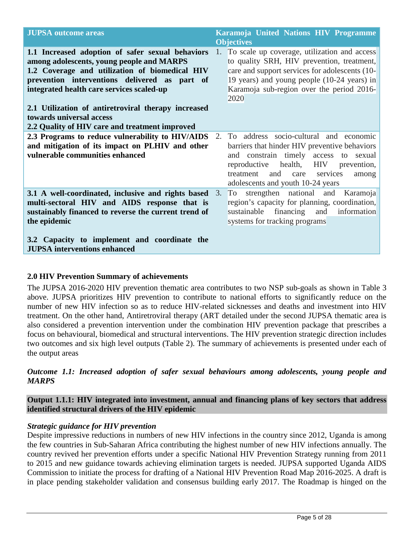| <b>JUPSA</b> outcome areas                                                                                                                                                                                                                                                                                                                                                         | Karamoja United Nations HIV Programme<br><b>Objectives</b>                                                                                                                                                                                                     |
|------------------------------------------------------------------------------------------------------------------------------------------------------------------------------------------------------------------------------------------------------------------------------------------------------------------------------------------------------------------------------------|----------------------------------------------------------------------------------------------------------------------------------------------------------------------------------------------------------------------------------------------------------------|
| 1.1 Increased adoption of safer sexual behaviors<br>among adolescents, young people and MARPS<br>1.2 Coverage and utilization of biomedical HIV<br>prevention interventions delivered as part of<br>integrated health care services scaled-up<br>2.1 Utilization of antiretroviral therapy increased<br>towards universal access<br>2.2 Quality of HIV care and treatment improved | 1. To scale up coverage, utilization and access<br>to quality SRH, HIV prevention, treatment,<br>care and support services for adolescents (10-<br>19 years) and young people (10-24 years) in<br>Karamoja sub-region over the period 2016-<br>2020            |
| 2.3 Programs to reduce vulnerability to HIV/AIDS<br>and mitigation of its impact on PLHIV and other<br>vulnerable communities enhanced                                                                                                                                                                                                                                             | To address socio-cultural and economic<br>2.<br>barriers that hinder HIV preventive behaviors<br>and constrain timely access to sexual<br>reproductive health, HIV prevention,<br>and care services<br>treatment<br>among<br>adolescents and youth 10-24 years |
| <b>3.1 A well-coordinated, inclusive and rights based</b> 3.<br>multi-sectoral HIV and AIDS response that is<br>sustainably financed to reverse the current trend of<br>the epidemic<br>3.2 Capacity to implement and coordinate the<br><b>JUPSA</b> interventions enhanced                                                                                                        | To strengthen national and Karamoja<br>region's capacity for planning, coordination,<br>sustainable<br>financing and<br>information<br>systems for tracking programs                                                                                           |

# **2.0 HIV Prevention Summary of achievements**

The JUPSA 2016-2020 HIV prevention thematic area contributes to two NSP sub-goals as shown in Table 3 above. JUPSA prioritizes HIV prevention to contribute to national efforts to significantly reduce on the number of new HIV infection so as to reduce HIV-related sicknesses and deaths and investment into HIV treatment. On the other hand, Antiretroviral therapy (ART detailed under the second JUPSA thematic area is also considered a prevention intervention under the combination HIV prevention package that prescribes a focus on behavioural, biomedical and structural interventions. The HIV prevention strategic direction includes two outcomes and six high level outputs (Table 2). The summary of achievements is presented under each of the output areas

# *Outcome 1.1: Increased adoption of safer sexual behaviours among adolescents, young people and MARPS*

### **Output 1.1.1: HIV integrated into investment, annual and financing plans of key sectors that address identified structural drivers of the HIV epidemic**

#### *Strategic guidance for HIV prevention*

Despite impressive reductions in numbers of new HIV infections in the country since 2012, Uganda is among the few countries in Sub-Saharan Africa contributing the highest number of new HIV infections annually. The country revived her prevention efforts under a specific National HIV Prevention Strategy running from 2011 to 2015 and new guidance towards achieving elimination targets is needed. JUPSA supported Uganda AIDS Commission to initiate the process for drafting of a National HIV Prevention Road Map 2016-2025. A draft is in place pending stakeholder validation and consensus building early 2017. The Roadmap is hinged on the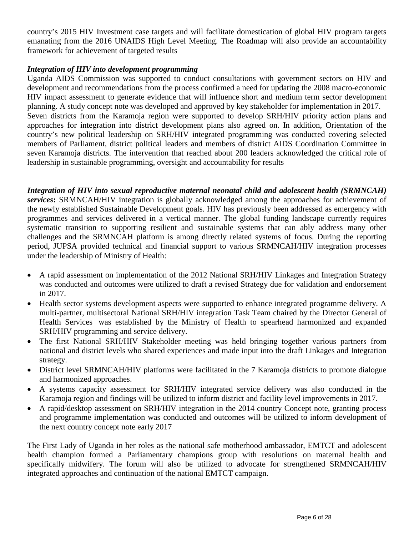country's 2015 HIV Investment case targets and will facilitate domestication of global HIV program targets emanating from the 2016 UNAIDS High Level Meeting. The Roadmap will also provide an accountability framework for achievement of targeted results

# *Integration of HIV into development programming*

Uganda AIDS Commission was supported to conduct consultations with government sectors on HIV and development and recommendations from the process confirmed a need for updating the 2008 macro-economic HIV impact assessment to generate evidence that will influence short and medium term sector development planning. A study concept note was developed and approved by key stakeholder for implementation in 2017. Seven districts from the Karamoja region were supported to develop SRH/HIV priority action plans and approaches for integration into district development plans also agreed on. In addition, Orientation of the country's new political leadership on SRH/HIV integrated programming was conducted covering selected members of Parliament, district political leaders and members of district AIDS Coordination Committee in seven Karamoja districts. The intervention that reached about 200 leaders acknowledged the critical role of leadership in sustainable programming, oversight and accountability for results

*Integration of HIV into sexual reproductive maternal neonatal child and adolescent health (SRMNCAH) services***:** SRMNCAH/HIV integration is globally acknowledged among the approaches for achievement of the newly established Sustainable Development goals. HIV has previously been addressed as emergency with programmes and services delivered in a vertical manner. The global funding landscape currently requires systematic transition to supporting resilient and sustainable systems that can ably address many other challenges and the SRMNCAH platform is among directly related systems of focus. During the reporting period, JUPSA provided technical and financial support to various SRMNCAH/HIV integration processes under the leadership of Ministry of Health:

- A rapid assessment on implementation of the 2012 National SRH/HIV Linkages and Integration Strategy was conducted and outcomes were utilized to draft a revised Strategy due for validation and endorsement in 2017.
- Health sector systems development aspects were supported to enhance integrated programme delivery. A multi-partner, multisectoral National SRH/HIV integration Task Team chaired by the Director General of Health Services was established by the Ministry of Health to spearhead harmonized and expanded SRH/HIV programming and service delivery.
- The first National SRH/HIV Stakeholder meeting was held bringing together various partners from national and district levels who shared experiences and made input into the draft Linkages and Integration strategy.
- District level SRMNCAH/HIV platforms were facilitated in the 7 Karamoja districts to promote dialogue and harmonized approaches.
- A systems capacity assessment for SRH/HIV integrated service delivery was also conducted in the Karamoja region and findings will be utilized to inform district and facility level improvements in 2017.
- A rapid/desktop assessment on SRH/HIV integration in the 2014 country Concept note, granting process and programme implementation was conducted and outcomes will be utilized to inform development of the next country concept note early 2017

The First Lady of Uganda in her roles as the national safe motherhood ambassador, EMTCT and adolescent health champion formed a Parliamentary champions group with resolutions on maternal health and specifically midwifery. The forum will also be utilized to advocate for strengthened SRMNCAH/HIV integrated approaches and continuation of the national EMTCT campaign.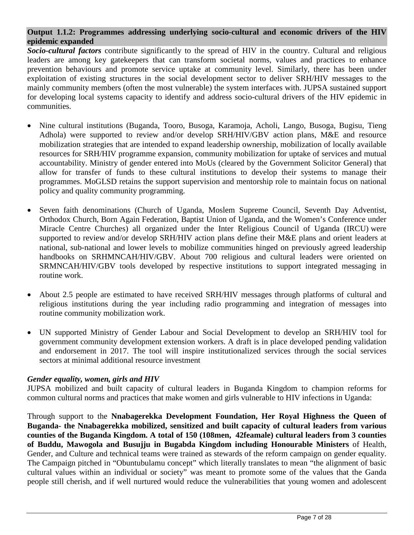# **Output 1.1.2: Programmes addressing underlying socio-cultural and economic drivers of the HIV epidemic expanded**

*Socio-cultural factors* contribute significantly to the spread of HIV in the country. Cultural and religious leaders are among key gatekeepers that can transform societal norms, values and practices to enhance prevention behaviours and promote service uptake at community level. Similarly, there has been under exploitation of existing structures in the social development sector to deliver SRH/HIV messages to the mainly community members (often the most vulnerable) the system interfaces with. JUPSA sustained support for developing local systems capacity to identify and address socio-cultural drivers of the HIV epidemic in communities.

- Nine cultural institutions (Buganda, Tooro, Busoga, Karamoja, Acholi, Lango, Busoga, Bugisu, Tieng Adhola) were supported to review and/or develop SRH/HIV/GBV action plans, M&E and resource mobilization strategies that are intended to expand leadership ownership, mobilization of locally available resources for SRH/HIV programme expansion, community mobilization for uptake of services and mutual accountability. Ministry of gender entered into MoUs (cleared by the Government Solicitor General) that allow for transfer of funds to these cultural institutions to develop their systems to manage their programmes. MoGLSD retains the support supervision and mentorship role to maintain focus on national policy and quality community programming.
- Seven faith denominations (Church of Uganda, Moslem Supreme Council, Seventh Day Adventist, Orthodox Church, Born Again Federation, Baptist Union of Uganda, and the Women's Conference under Miracle Centre Churches) all organized under the Inter Religious Council of Uganda (IRCU) were supported to review and/or develop SRH/HIV action plans define their M&E plans and orient leaders at national, sub-national and lower levels to mobilize communities hinged on previously agreed leadership handbooks on SRHMNCAH/HIV/GBV. About 700 religious and cultural leaders were oriented on SRMNCAH/HIV/GBV tools developed by respective institutions to support integrated messaging in routine work.
- About 2.5 people are estimated to have received SRH/HIV messages through platforms of cultural and religious institutions during the year including radio programming and integration of messages into routine community mobilization work.
- UN supported Ministry of Gender Labour and Social Development to develop an SRH/HIV tool for government community development extension workers. A draft is in place developed pending validation and endorsement in 2017. The tool will inspire institutionalized services through the social services sectors at minimal additional resource investment

# *Gender equality, women, girls and HIV*

JUPSA mobilized and built capacity of cultural leaders in Buganda Kingdom to champion reforms for common cultural norms and practices that make women and girls vulnerable to HIV infections in Uganda:

Through support to the **Nnabagerekka Development Foundation, Her Royal Highness the Queen of Buganda- the Nnabagerekka mobilized, sensitized and built capacity of cultural leaders from various counties of the Buganda Kingdom. A total of 150 (108men, 42feamale) cultural leaders from 3 counties of Buddu, Mawogola and Busujju in Bugabda Kingdom including Honourable Ministers** of Health, Gender, and Culture and technical teams were trained as stewards of the reform campaign on gender equality. The Campaign pitched in "Obuntubulamu concept" which literally translates to mean "the alignment of basic cultural values within an individual or society" was meant to promote some of the values that the Ganda people still cherish, and if well nurtured would reduce the vulnerabilities that young women and adolescent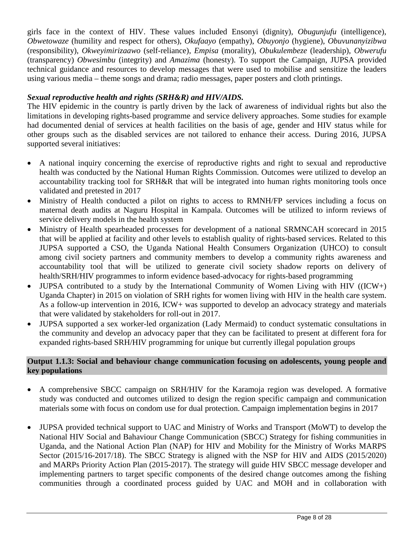girls face in the context of HIV. These values included Ensonyi (dignity), *Obugunjufu* (intelligence), *Obwetowaze* (humility and respect for others), *Okufaayo* (empathy), *Obuyonjo* (hygiene), *Obuvunanyizibwa* (responsibility), *Okweyimirizaawo* (self-reliance), *Empisa* (morality), *Obukulembeze* (leadership), *Obwerufu* (transparency) *Obwesimbu* (integrity) and *Amazima* (honesty). To support the Campaign, JUPSA provided technical guidance and resources to develop messages that were used to mobilise and sensitize the leaders using various media – theme songs and drama; radio messages, paper posters and cloth printings.

# *Sexual reproductive health and rights (SRH&R) and HIV/AIDS.*

The HIV epidemic in the country is partly driven by the lack of awareness of individual rights but also the limitations in developing rights-based programme and service delivery approaches. Some studies for example had documented denial of services at health facilities on the basis of age, gender and HIV status while for other groups such as the disabled services are not tailored to enhance their access. During 2016, JUPSA supported several initiatives:

- A national inquiry concerning the exercise of reproductive rights and right to sexual and reproductive health was conducted by the National Human Rights Commission. Outcomes were utilized to develop an accountability tracking tool for SRH&R that will be integrated into human rights monitoring tools once validated and pretested in 2017
- Ministry of Health conducted a pilot on rights to access to RMNH/FP services including a focus on maternal death audits at Naguru Hospital in Kampala. Outcomes will be utilized to inform reviews of service delivery models in the health system
- Ministry of Health spearheaded processes for development of a national SRMNCAH scorecard in 2015 that will be applied at facility and other levels to establish quality of rights-based services. Related to this JUPSA supported a CSO, the Uganda National Health Consumers Organization (UHCO) to consult among civil society partners and community members to develop a community rights awareness and accountability tool that will be utilized to generate civil society shadow reports on delivery of health/SRH/HIV programmes to inform evidence based-advocacy for rights-based programming
- JUPSA contributed to a study by the International Community of Women Living with HIV ( $(ICW+)$ Uganda Chapter) in 2015 on violation of SRH rights for women living with HIV in the health care system. As a follow-up intervention in 2016, ICW+ was supported to develop an advocacy strategy and materials that were validated by stakeholders for roll-out in 2017.
- JUPSA supported a sex worker-led organization (Lady Mermaid) to conduct systematic consultations in the community and develop an advocacy paper that they can be facilitated to present at different fora for expanded rights-based SRH/HIV programming for unique but currently illegal population groups

#### **Output 1.1.3: Social and behaviour change communication focusing on adolescents, young people and key populations**

- A comprehensive SBCC campaign on SRH/HIV for the Karamoja region was developed. A formative study was conducted and outcomes utilized to design the region specific campaign and communication materials some with focus on condom use for dual protection. Campaign implementation begins in 2017
- JUPSA provided technical support to UAC and Ministry of Works and Transport (MoWT) to develop the National HIV Social and Bahaviour Change Communication (SBCC) Strategy for fishing communities in Uganda, and the National Action Plan (NAP) for HIV and Mobility for the Ministry of Works MARPS Sector (2015/16-2017/18). The SBCC Strategy is aligned with the NSP for HIV and AIDS (2015/2020) and MARPs Priority Action Plan (2015-2017). The strategy will guide HIV SBCC message developer and implementing partners to target specific components of the desired change outcomes among the fishing communities through a coordinated process guided by UAC and MOH and in collaboration with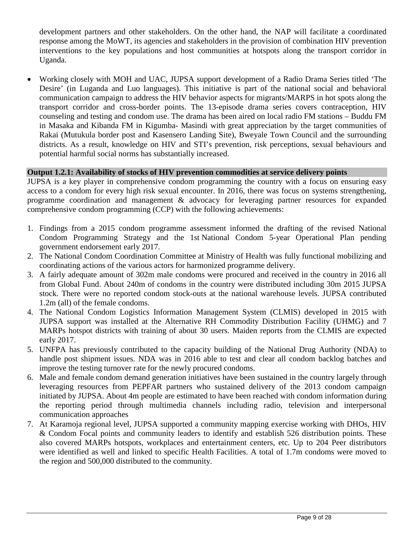development partners and other stakeholders. On the other hand, the NAP will facilitate a coordinated response among the MoWT, its agencies and stakeholders in the provision of combination HIV prevention interventions to the key populations and host communities at hotspots along the transport corridor in Uganda.

• Working closely with MOH and UAC, JUPSA support development of a Radio Drama Series titled 'The Desire' (in Luganda and Luo languages). This initiative is part of the national social and behavioral communication campaign to address the HIV behavior aspects for migrants/MARPS in hot spots along the transport corridor and cross-border points. The 13-episode drama series covers contraception, HIV counseling and testing and condom use. The drama has been aired on local radio FM stations – Buddu FM in Masaka and Kibanda FM in Kigumba- Masindi with great appreciation by the target communities of Rakai (Mutukula border post and Kasensero Landing Site), Bweyale Town Council and the surrounding districts. As a result, knowledge on HIV and STI's prevention, risk perceptions, sexual behaviours and potential harmful social norms has substantially increased.

#### **Output 1.2.1: Availability of stocks of HIV prevention commodities at service delivery points**

JUPSA is a key player in comprehensive condom programming the country with a focus on ensuring easy access to a condom for every high risk sexual encounter. In 2016, there was focus on systems strengthening, programme coordination and management & advocacy for leveraging partner resources for expanded comprehensive condom programming (CCP) with the following achievements:

- 1. Findings from a 2015 condom programme assessment informed the drafting of the revised National Condom Programming Strategy and the 1st National Condom 5-year Operational Plan pending government endorsement early 2017.
- 2. The National Condom Coordination Committee at Ministry of Health was fully functional mobilizing and coordinating actions of the various actors for harmonized programme delivery.
- 3. A fairly adequate amount of 302m male condoms were procured and received in the country in 2016 all from Global Fund. About 240m of condoms in the country were distributed including 30m 2015 JUPSA stock. There were no reported condom stock-outs at the national warehouse levels. JUPSA contributed 1.2m (all) of the female condoms.
- 4. The National Condom Logistics Information Management System (CLMIS) developed in 2015 with JUPSA support was installed at the Alternative RH Commodity Distribution Facility (UHMG) and 7 MARPs hotspot districts with training of about 30 users. Maiden reports from the CLMIS are expected early 2017.
- 5. UNFPA has previously contributed to the capacity building of the National Drug Authority (NDA) to handle post shipment issues. NDA was in 2016 able to test and clear all condom backlog batches and improve the testing turnover rate for the newly procured condoms.
- 6. Male and female condom demand generation initiatives have been sustained in the country largely through leveraging resources from PEPFAR partners who sustained delivery of the 2013 condom campaign initiated by JUPSA. About 4m people are estimated to have been reached with condom information during the reporting period through multimedia channels including radio, television and interpersonal communication approaches
- 7. At Karamoja regional level, JUPSA supported a community mapping exercise working with DHOs, HIV & Condom Focal points and community leaders to identify and establish 526 distribution points. These also covered MARPs hotspots, workplaces and entertainment centers, etc. Up to 204 Peer distributors were identified as well and linked to specific Health Facilities. A total of 1.7m condoms were moved to the region and 500,000 distributed to the community.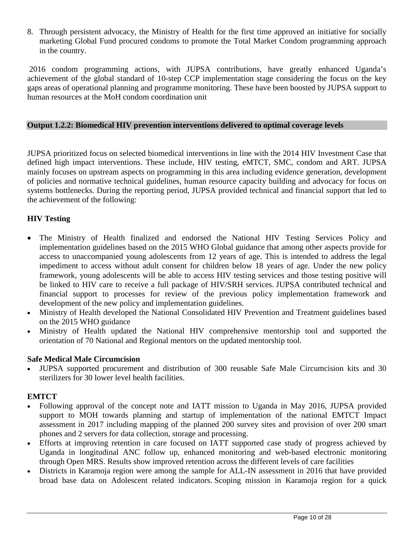8. Through persistent advocacy, the Ministry of Health for the first time approved an initiative for socially marketing Global Fund procured condoms to promote the Total Market Condom programming approach in the country.

2016 condom programming actions, with JUPSA contributions, have greatly enhanced Uganda's achievement of the global standard of 10-step CCP implementation stage considering the focus on the key gaps areas of operational planning and programme monitoring. These have been boosted by JUPSA support to human resources at the MoH condom coordination unit

### **Output 1.2.2: Biomedical HIV prevention interventions delivered to optimal coverage levels**

JUPSA prioritized focus on selected biomedical interventions in line with the 2014 HIV Investment Case that defined high impact interventions. These include, HIV testing, eMTCT, SMC, condom and ART. JUPSA mainly focuses on upstream aspects on programming in this area including evidence generation, development of policies and normative technical guidelines, human resource capacity building and advocacy for focus on systems bottlenecks. During the reporting period, JUPSA provided technical and financial support that led to the achievement of the following:

# **HIV Testing**

- The Ministry of Health finalized and endorsed the National HIV Testing Services Policy and implementation guidelines based on the 2015 WHO Global guidance that among other aspects provide for access to unaccompanied young adolescents from 12 years of age. This is intended to address the legal impediment to access without adult consent for children below 18 years of age. Under the new policy framework, young adolescents will be able to access HIV testing services and those testing positive will be linked to HIV care to receive a full package of HIV/SRH services. JUPSA contributed technical and financial support to processes for review of the previous policy implementation framework and development of the new policy and implementation guidelines.
- Ministry of Health developed the National Consolidated HIV Prevention and Treatment guidelines based on the 2015 WHO guidance
- Ministry of Health updated the National HIV comprehensive mentorship tool and supported the orientation of 70 National and Regional mentors on the updated mentorship tool.

#### **Safe Medical Male Circumcision**

• JUPSA supported procurement and distribution of 300 reusable Safe Male Circumcision kits and 30 sterilizers for 30 lower level health facilities.

#### **EMTCT**

- Following approval of the concept note and IATT mission to Uganda in May 2016, JUPSA provided support to MOH towards planning and startup of implementation of the national EMTCT Impact assessment in 2017 including mapping of the planned 200 survey sites and provision of over 200 smart phones and 2 servers for data collection, storage and processing.
- Efforts at improving retention in care focused on IATT supported case study of progress achieved by Uganda in longitudinal ANC follow up, enhanced monitoring and web-based electronic monitoring through Open MRS. Results show improved retention across the different levels of care facilities
- Districts in Karamoja region were among the sample for ALL-IN assessment in 2016 that have provided broad base data on Adolescent related indicators. Scoping mission in Karamoja region for a quick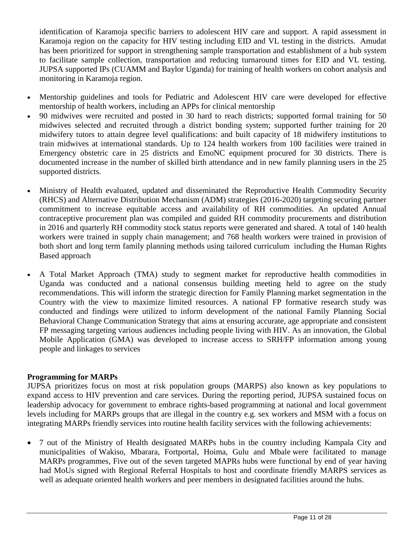identification of Karamoja specific barriers to adolescent HIV care and support. A rapid assessment in Karamoja region on the capacity for HIV testing including EID and VL testing in the districts. Amudat has been prioritized for support in strengthening sample transportation and establishment of a hub system to facilitate sample collection, transportation and reducing turnaround times for EID and VL testing. JUPSA supported IPs (CUAMM and Baylor Uganda) for training of health workers on cohort analysis and monitoring in Karamoja region.

- Mentorship guidelines and tools for Pediatric and Adolescent HIV care were developed for effective mentorship of health workers, including an APPs for clinical mentorship
- 90 midwives were recruited and posted in 30 hard to reach districts; supported formal training for 50 midwives selected and recruited through a district bonding system; supported further training for 20 midwifery tutors to attain degree level qualifications: and built capacity of 18 midwifery institutions to train midwives at international standards. Up to 124 health workers from 100 facilities were trained in Emergency obstetric care in 25 districts and EmoNC equipment procured for 30 districts. There is documented increase in the number of skilled birth attendance and in new family planning users in the 25 supported districts.
- Ministry of Health evaluated, updated and disseminated the Reproductive Health Commodity Security (RHCS) and Alternative Distribution Mechanism (ADM) strategies (2016-2020) targeting securing partner commitment to increase equitable access and availability of RH commodities. An updated Annual contraceptive procurement plan was compiled and guided RH commodity procurements and distribution in 2016 and quarterly RH commodity stock status reports were generated and shared. A total of 140 health workers were trained in supply chain management; and 768 health workers were trained in provision of both short and long term family planning methods using tailored curriculum including the Human Rights Based approach
- A Total Market Approach (TMA) study to segment market for reproductive health commodities in Uganda was conducted and a national consensus building meeting held to agree on the study recommendations. This will inform the strategic direction for Family Planning market segmentation in the Country with the view to maximize limited resources. A national FP formative research study was conducted and findings were utilized to inform development of the national Family Planning Social Behavioral Change Communication Strategy that aims at ensuring accurate, age appropriate and consistent FP messaging targeting various audiences including people living with HIV. As an innovation, the Global Mobile Application (GMA) was developed to increase access to SRH/FP information among young people and linkages to services

# **Programming for MARPs**

JUPSA prioritizes focus on most at risk population groups (MARPS) also known as key populations to expand access to HIV prevention and care services. During the reporting period, JUPSA sustained focus on leadership advocacy for government to embrace rights-based programming at national and local government levels including for MARPs groups that are illegal in the country e.g. sex workers and MSM with a focus on integrating MARPs friendly services into routine health facility services with the following achievements:

• 7 out of the Ministry of Health designated MARPs hubs in the country including Kampala City and municipalities of Wakiso, Mbarara, Fortportal, Hoima, Gulu and Mbale were facilitated to manage MARPs programmes, Five out of the seven targeted MAPRs hubs were functional by end of year having had MoUs signed with Regional Referral Hospitals to host and coordinate friendly MARPS services as well as adequate oriented health workers and peer members in designated facilities around the hubs.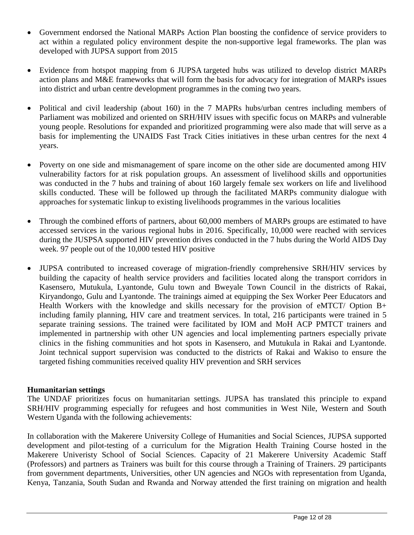- Government endorsed the National MARPs Action Plan boosting the confidence of service providers to act within a regulated policy environment despite the non-supportive legal frameworks. The plan was developed with JUPSA support from 2015
- Evidence from hotspot mapping from 6 JUPSA targeted hubs was utilized to develop district MARPs action plans and M&E frameworks that will form the basis for advocacy for integration of MARPs issues into district and urban centre development programmes in the coming two years.
- Political and civil leadership (about 160) in the 7 MAPRs hubs/urban centres including members of Parliament was mobilized and oriented on SRH/HIV issues with specific focus on MARPs and vulnerable young people. Resolutions for expanded and prioritized programming were also made that will serve as a basis for implementing the UNAIDS Fast Track Cities initiatives in these urban centres for the next 4 years.
- Poverty on one side and mismanagement of spare income on the other side are documented among HIV vulnerability factors for at risk population groups. An assessment of livelihood skills and opportunities was conducted in the 7 hubs and training of about 160 largely female sex workers on life and livelihood skills conducted. These will be followed up through the facilitated MARPs community dialogue with approaches for systematic linkup to existing livelihoods programmes in the various localities
- Through the combined efforts of partners, about 60,000 members of MARPs groups are estimated to have accessed services in the various regional hubs in 2016. Specifically, 10,000 were reached with services during the JUSPSA supported HIV prevention drives conducted in the 7 hubs during the World AIDS Day week. 97 people out of the 10,000 tested HIV positive
- JUPSA contributed to increased coverage of migration-friendly comprehensive SRH/HIV services by building the capacity of health service providers and facilities located along the transport corridors in Kasensero, Mutukula, Lyantonde, Gulu town and Bweyale Town Council in the districts of Rakai, Kiryandongo, Gulu and Lyantonde. The trainings aimed at equipping the Sex Worker Peer Educators and Health Workers with the knowledge and skills necessary for the provision of eMTCT/ Option B+ including family planning, HIV care and treatment services. In total, 216 participants were trained in 5 separate training sessions. The trained were facilitated by IOM and MoH ACP PMTCT trainers and implemented in partnership with other UN agencies and local implementing partners especially private clinics in the fishing communities and hot spots in Kasensero, and Mutukula in Rakai and Lyantonde. Joint technical support supervision was conducted to the districts of Rakai and Wakiso to ensure the targeted fishing communities received quality HIV prevention and SRH services

# **Humanitarian settings**

The UNDAF prioritizes focus on humanitarian settings. JUPSA has translated this principle to expand SRH/HIV programming especially for refugees and host communities in West Nile, Western and South Western Uganda with the following achievements:

In collaboration with the Makerere University College of Humanities and Social Sciences, JUPSA supported development and pilot-testing of a curriculum for the Migration Health Training Course hosted in the Makerere Univeristy School of Social Sciences. Capacity of 21 Makerere University Academic Staff (Professors) and partners as Trainers was built for this course through a Training of Trainers. 29 participants from government departments, Universities, other UN agencies and NGOs with representation from Uganda, Kenya, Tanzania, South Sudan and Rwanda and Norway attended the first training on migration and health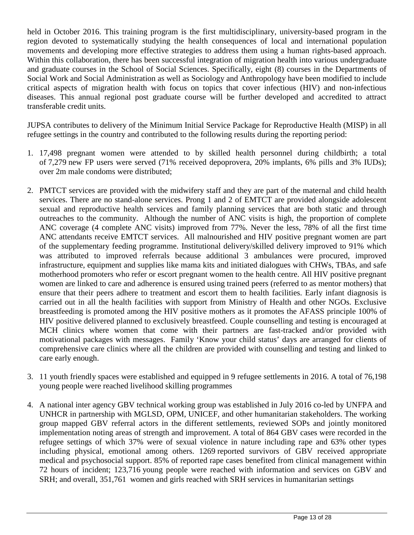held in October 2016. This training program is the first multidisciplinary, university-based program in the region devoted to systematically studying the health consequences of local and international population movements and developing more effective strategies to address them using a human rights-based approach. Within this collaboration, there has been successful integration of migration health into various undergraduate and graduate courses in the School of Social Sciences. Specifically, eight (8) courses in the Departments of Social Work and Social Administration as well as Sociology and Anthropology have been modified to include critical aspects of migration health with focus on topics that cover infectious (HIV) and non-infectious diseases. This annual regional post graduate course will be further developed and accredited to attract transferable credit units.

JUPSA contributes to delivery of the Minimum Initial Service Package for Reproductive Health (MISP) in all refugee settings in the country and contributed to the following results during the reporting period:

- 1. 17,498 pregnant women were attended to by skilled health personnel during childbirth; a total of 7,279 new FP users were served (71% received depoprovera, 20% implants, 6% pills and 3% IUDs); over 2m male condoms were distributed;
- 2. PMTCT services are provided with the midwifery staff and they are part of the maternal and child health services. There are no stand-alone services. Prong 1 and 2 of EMTCT are provided alongside adolescent sexual and reproductive health services and family planning services that are both static and through outreaches to the community. Although the number of ANC visits is high, the proportion of complete ANC coverage (4 complete ANC visits) improved from 77%. Never the less, 78% of all the first time ANC attendants receive EMTCT services. All malnourished and HIV positive pregnant women are part of the supplementary feeding programme. Institutional delivery/skilled delivery improved to 91% which was attributed to improved referrals because additional 3 ambulances were procured, improved infrastructure, equipment and supplies like mama kits and initiated dialogues with CHWs, TBAs, and safe motherhood promoters who refer or escort pregnant women to the health centre. All HIV positive pregnant women are linked to care and adherence is ensured using trained peers (referred to as mentor mothers) that ensure that their peers adhere to treatment and escort them to health facilities. Early infant diagnosis is carried out in all the health facilities with support from Ministry of Health and other NGOs. Exclusive breastfeeding is promoted among the HIV positive mothers as it promotes the AFASS principle 100% of HIV positive delivered planned to exclusively breastfeed. Couple counselling and testing is encouraged at MCH clinics where women that come with their partners are fast-tracked and/or provided with motivational packages with messages. Family 'Know your child status' days are arranged for clients of comprehensive care clinics where all the children are provided with counselling and testing and linked to care early enough.
- 3. 11 youth friendly spaces were established and equipped in 9 refugee settlements in 2016. A total of 76,198 young people were reached livelihood skilling programmes
- 4. A national inter agency GBV technical working group was established in July 2016 co-led by UNFPA and UNHCR in partnership with MGLSD, OPM, UNICEF, and other humanitarian stakeholders. The working group mapped GBV referral actors in the different settlements, reviewed SOPs and jointly monitored implementation noting areas of strength and improvement. A total of 864 GBV cases were recorded in the refugee settings of which 37% were of sexual violence in nature including rape and 63% other types including physical, emotional among others. 1269 reported survivors of GBV received appropriate medical and psychosocial support. 85% of reported rape cases benefited from clinical management within 72 hours of incident; 123,716 young people were reached with information and services on GBV and SRH; and overall, 351,761 women and girls reached with SRH services in humanitarian settings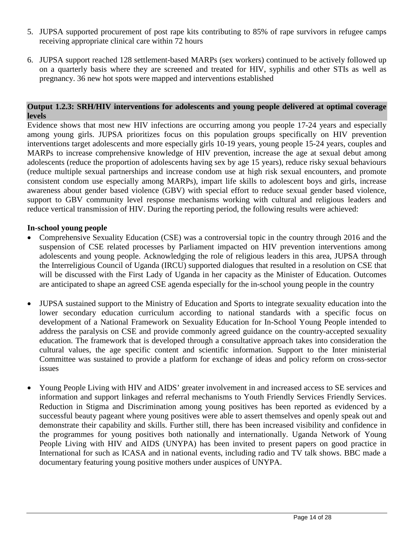- 5. JUPSA supported procurement of post rape kits contributing to 85% of rape survivors in refugee camps receiving appropriate clinical care within 72 hours
- 6. JUPSA support reached 128 settlement-based MARPs (sex workers) continued to be actively followed up on a quarterly basis where they are screened and treated for HIV, syphilis and other STIs as well as pregnancy. 36 new hot spots were mapped and interventions established

#### **Output 1.2.3: SRH/HIV interventions for adolescents and young people delivered at optimal coverage levels**

Evidence shows that most new HIV infections are occurring among you people 17-24 years and especially among young girls. JUPSA prioritizes focus on this population groups specifically on HIV prevention interventions target adolescents and more especially girls 10-19 years, young people 15-24 years, couples and MARPs to increase comprehensive knowledge of HIV prevention, increase the age at sexual debut among adolescents (reduce the proportion of adolescents having sex by age 15 years), reduce risky sexual behaviours (reduce multiple sexual partnerships and increase condom use at high risk sexual encounters, and promote consistent condom use especially among MARPs), impart life skills to adolescent boys and girls, increase awareness about gender based violence (GBV) with special effort to reduce sexual gender based violence, support to GBV community level response mechanisms working with cultural and religious leaders and reduce vertical transmission of HIV. During the reporting period, the following results were achieved:

### **In-school young people**

- Comprehensive Sexuality Education (CSE) was a controversial topic in the country through 2016 and the suspension of CSE related processes by Parliament impacted on HIV prevention interventions among adolescents and young people. Acknowledging the role of religious leaders in this area, JUPSA through the Interreligious Council of Uganda (IRCU) supported dialogues that resulted in a resolution on CSE that will be discussed with the First Lady of Uganda in her capacity as the Minister of Education. Outcomes are anticipated to shape an agreed CSE agenda especially for the in-school young people in the country
- JUPSA sustained support to the Ministry of Education and Sports to integrate sexuality education into the lower secondary education curriculum according to national standards with a specific focus on development of a National Framework on Sexuality Education for In-School Young People intended to address the paralysis on CSE and provide commonly agreed guidance on the country-accepted sexuality education. The framework that is developed through a consultative approach takes into consideration the cultural values, the age specific content and scientific information. Support to the Inter ministerial Committee was sustained to provide a platform for exchange of ideas and policy reform on cross-sector issues
- Young People Living with HIV and AIDS' greater involvement in and increased access to SE services and information and support linkages and referral mechanisms to Youth Friendly Services Friendly Services. Reduction in Stigma and Discrimination among young positives has been reported as evidenced by a successful beauty pageant where young positives were able to assert themselves and openly speak out and demonstrate their capability and skills. Further still, there has been increased visibility and confidence in the programmes for young positives both nationally and internationally. Uganda Network of Young People Living with HIV and AIDS (UNYPA) has been invited to present papers on good practice in International for such as ICASA and in national events, including radio and TV talk shows. BBC made a documentary featuring young positive mothers under auspices of UNYPA.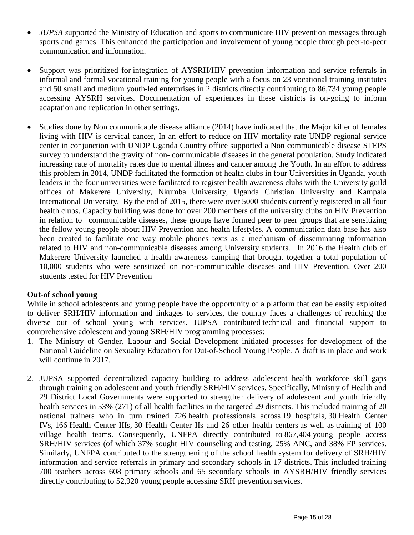- *JUPSA* supported the Ministry of Education and sports to communicate HIV prevention messages through sports and games. This enhanced the participation and involvement of young people through peer-to-peer communication and information.
- Support was prioritized for integration of AYSRH/HIV prevention information and service referrals in informal and formal vocational training for young people with a focus on 23 vocational training institutes and 50 small and medium youth-led enterprises in 2 districts directly contributing to 86,734 young people accessing AYSRH services. Documentation of experiences in these districts is on-going to inform adaptation and replication in other settings.
- Studies done by Non communicable disease alliance (2014) have indicated that the Major killer of females living with HIV is cervical cancer, In an effort to reduce on HIV mortality rate UNDP regional service center in conjunction with UNDP Uganda Country office supported a Non communicable disease STEPS survey to understand the gravity of non- communicable diseases in the general population. Study indicated increasing rate of mortality rates due to mental illness and cancer among the Youth. In an effort to address this problem in 2014, UNDP facilitated the formation of health clubs in four Universities in Uganda, youth leaders in the four universities were facilitated to register health awareness clubs with the University guild offices of Makerere University, Nkumba University, Uganda Christian University and Kampala International University. By the end of 2015, there were over 5000 students currently registered in all four health clubs. Capacity building was done for over 200 members of the university clubs on HIV Prevention in relation to communicable diseases, these groups have formed peer to peer groups that are sensitizing the fellow young people about HIV Prevention and health lifestyles. A communication data base has also been created to facilitate one way mobile phones texts as a mechanism of disseminating information related to HIV and non-communicable diseases among University students. In 2016 the Health club of Makerere University launched a health awareness camping that brought together a total population of 10,000 students who were sensitized on non-communicable diseases and HIV Prevention. Over 200 students tested for HIV Prevention

# **Out-of school young**

While in school adolescents and young people have the opportunity of a platform that can be easily exploited to deliver SRH/HIV information and linkages to services, the country faces a challenges of reaching the diverse out of school young with services. JUPSA contributed technical and financial support to comprehensive adolescent and young SRH/HIV programming processes:

- 1. The Ministry of Gender, Labour and Social Development initiated processes for development of the National Guideline on Sexuality Education for Out-of-School Young People. A draft is in place and work will continue in 2017.
- 2. JUPSA supported decentralized capacity building to address adolescent health workforce skill gaps through training on adolescent and youth friendly SRH/HIV services. Specifically, Ministry of Health and 29 District Local Governments were supported to strengthen delivery of adolescent and youth friendly health services in 53% (271) of all health facilities in the targeted 29 districts. This included training of 20 national trainers who in turn trained 726 health professionals across 19 hospitals, 30 Health Center IVs, 166 Health Center IIIs, 30 Health Center IIs and 26 other health centers as well as training of 100 village health teams. Consequently, UNFPA directly contributed to 867,404 young people access SRH/HIV services (of which 37% sought HIV counseling and testing, 25% ANC, and 38% FP services. Similarly, UNFPA contributed to the strengthening of the school health system for delivery of SRH/HIV information and service referrals in primary and secondary schools in 17 districts. This included training 700 teachers across 608 primary schools and 65 secondary schools in AYSRH/HIV friendly services directly contributing to 52,920 young people accessing SRH prevention services.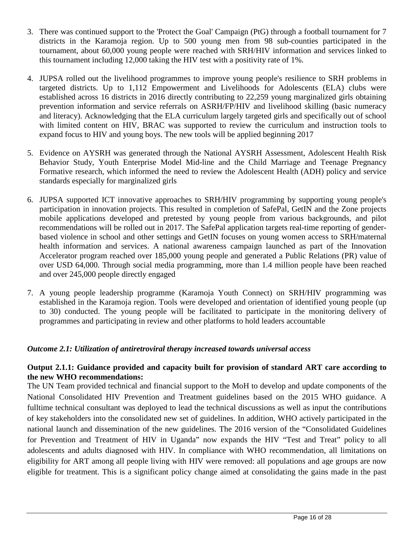- 3. There was continued support to the 'Protect the Goal' Campaign (PtG) through a football tournament for 7 districts in the Karamoja region. Up to 500 young men from 98 sub-counties participated in the tournament, about 60,000 young people were reached with SRH/HIV information and services linked to this tournament including 12,000 taking the HIV test with a positivity rate of 1%.
- 4. JUPSA rolled out the livelihood programmes to improve young people's resilience to SRH problems in targeted districts. Up to 1,112 Empowerment and Livelihoods for Adolescents (ELA) clubs were established across 16 districts in 2016 directly contributing to 22,259 young marginalized girls obtaining prevention information and service referrals on ASRH/FP/HIV and livelihood skilling (basic numeracy and literacy). Acknowledging that the ELA curriculum largely targeted girls and specifically out of school with limited content on HIV, BRAC was supported to review the curriculum and instruction tools to expand focus to HIV and young boys. The new tools will be applied beginning 2017
- 5. Evidence on AYSRH was generated through the National AYSRH Assessment, Adolescent Health Risk Behavior Study, Youth Enterprise Model Mid-line and the Child Marriage and Teenage Pregnancy Formative research, which informed the need to review the Adolescent Health (ADH) policy and service standards especially for marginalized girls
- 6. JUPSA supported ICT innovative approaches to SRH/HIV programming by supporting young people's participation in innovation projects. This resulted in completion of SafePal, GetIN and the Zone projects mobile applications developed and pretested by young people from various backgrounds, and pilot recommendations will be rolled out in 2017. The SafePal application targets real-time reporting of genderbased violence in school and other settings and GetIN focuses on young women access to SRH/maternal health information and services. A national awareness campaign launched as part of the Innovation Accelerator program reached over 185,000 young people and generated a Public Relations (PR) value of over USD 64,000. Through social media programming, more than 1.4 million people have been reached and over 245,000 people directly engaged
- 7. A young people leadership programme (Karamoja Youth Connect) on SRH/HIV programming was established in the Karamoja region. Tools were developed and orientation of identified young people (up to 30) conducted. The young people will be facilitated to participate in the monitoring delivery of programmes and participating in review and other platforms to hold leaders accountable

# *Outcome 2.1: Utilization of antiretroviral therapy increased towards universal access*

# **Output 2.1.1: Guidance provided and capacity built for provision of standard ART care according to the new WHO recommendations:**

The UN Team provided technical and financial support to the MoH to develop and update components of the National Consolidated HIV Prevention and Treatment guidelines based on the 2015 WHO guidance. A fulltime technical consultant was deployed to lead the technical discussions as well as input the contributions of key stakeholders into the consolidated new set of guidelines. In addition, WHO actively participated in the national launch and dissemination of the new guidelines. The 2016 version of the "Consolidated Guidelines for Prevention and Treatment of HIV in Uganda" now expands the HIV "Test and Treat" policy to all adolescents and adults diagnosed with HIV. In compliance with WHO recommendation, all limitations on eligibility for ART among all people living with HIV were removed: all populations and age groups are now eligible for treatment. This is a significant policy change aimed at consolidating the gains made in the past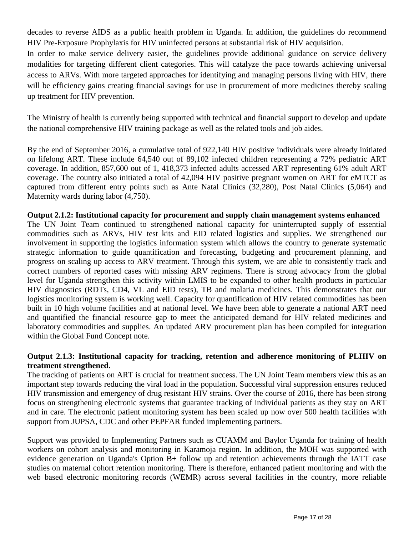decades to reverse AIDS as a public health problem in Uganda. In addition, the guidelines do recommend HIV Pre-Exposure Prophylaxis for HIV uninfected persons at substantial risk of HIV acquisition.

In order to make service delivery easier, the guidelines provide additional guidance on service delivery modalities for targeting different client categories. This will catalyze the pace towards achieving universal access to ARVs. With more targeted approaches for identifying and managing persons living with HIV, there will be efficiency gains creating financial savings for use in procurement of more medicines thereby scaling up treatment for HIV prevention.

The Ministry of health is currently being supported with technical and financial support to develop and update the national comprehensive HIV training package as well as the related tools and job aides.

By the end of September 2016, a cumulative total of 922,140 HIV positive individuals were already initiated on lifelong ART. These include 64,540 out of 89,102 infected children representing a 72% pediatric ART coverage. In addition, 857,600 out of 1, 418,373 infected adults accessed ART representing 61% adult ART coverage. The country also initiated a total of 42,094 HIV positive pregnant women on ART for eMTCT as captured from different entry points such as Ante Natal Clinics (32,280), Post Natal Clinics (5,064) and Maternity wards during labor (4,750).

# **Output 2.1.2: Institutional capacity for procurement and supply chain management systems enhanced**

The UN Joint Team continued to strengthened national capacity for uninterrupted supply of essential commodities such as ARVs, HIV test kits and EID related logistics and supplies. We strengthened our involvement in supporting the logistics information system which allows the country to generate systematic strategic information to guide quantification and forecasting, budgeting and procurement planning, and progress on scaling up access to ARV treatment. Through this system, we are able to consistently track and correct numbers of reported cases with missing ARV regimens. There is strong advocacy from the global level for Uganda strengthen this activity within LMIS to be expanded to other health products in particular HIV diagnostics (RDTs, CD4, VL and EID tests), TB and malaria medicines. This demonstrates that our logistics monitoring system is working well. Capacity for quantification of HIV related commodities has been built in 10 high volume facilities and at national level. We have been able to generate a national ART need and quantified the financial resource gap to meet the anticipated demand for HIV related medicines and laboratory commodities and supplies. An updated ARV procurement plan has been compiled for integration within the Global Fund Concept note.

### **Output 2.1.3: Institutional capacity for tracking, retention and adherence monitoring of PLHIV on treatment strengthened.**

The tracking of patients on ART is crucial for treatment success. The UN Joint Team members view this as an important step towards reducing the viral load in the population. Successful viral suppression ensures reduced HIV transmission and emergency of drug resistant HIV strains. Over the course of 2016, there has been strong focus on strengthening electronic systems that guarantee tracking of individual patients as they stay on ART and in care. The electronic patient monitoring system has been scaled up now over 500 health facilities with support from JUPSA, CDC and other PEPFAR funded implementing partners.

Support was provided to Implementing Partners such as CUAMM and Baylor Uganda for training of health workers on cohort analysis and monitoring in Karamoja region. In addition, the MOH was supported with evidence generation on Uganda's Option B+ follow up and retention achievements through the IATT case studies on maternal cohort retention monitoring. There is therefore, enhanced patient monitoring and with the web based electronic monitoring records (WEMR) across several facilities in the country, more reliable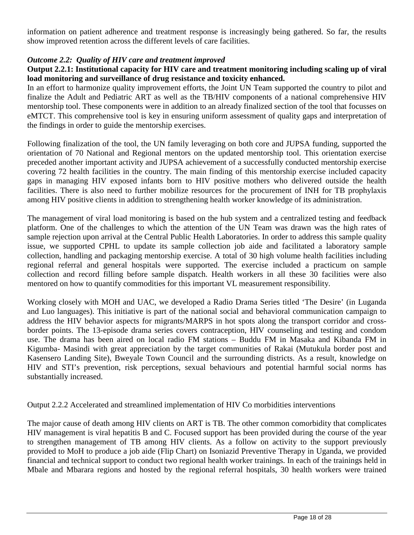information on patient adherence and treatment response is increasingly being gathered. So far, the results show improved retention across the different levels of care facilities.

#### *Outcome 2.2: Quality of HIV care and treatment improved*

### **Output 2.2.1: Institutional capacity for HIV care and treatment monitoring including scaling up of viral load monitoring and surveillance of drug resistance and toxicity enhanced.**

In an effort to harmonize quality improvement efforts, the Joint UN Team supported the country to pilot and finalize the Adult and Pediatric ART as well as the TB/HIV components of a national comprehensive HIV mentorship tool. These components were in addition to an already finalized section of the tool that focusses on eMTCT. This comprehensive tool is key in ensuring uniform assessment of quality gaps and interpretation of the findings in order to guide the mentorship exercises.

Following finalization of the tool, the UN family leveraging on both core and JUPSA funding, supported the orientation of 70 National and Regional mentors on the updated mentorship tool. This orientation exercise preceded another important activity and JUPSA achievement of a successfully conducted mentorship exercise covering 72 health facilities in the country. The main finding of this mentorship exercise included capacity gaps in managing HIV exposed infants born to HIV positive mothers who delivered outside the health facilities. There is also need to further mobilize resources for the procurement of INH for TB prophylaxis among HIV positive clients in addition to strengthening health worker knowledge of its administration.

The management of viral load monitoring is based on the hub system and a centralized testing and feedback platform. One of the challenges to which the attention of the UN Team was drawn was the high rates of sample rejection upon arrival at the Central Public Health Laboratories. In order to address this sample quality issue, we supported CPHL to update its sample collection job aide and facilitated a laboratory sample collection, handling and packaging mentorship exercise. A total of 30 high volume health facilities including regional referral and general hospitals were supported. The exercise included a practicum on sample collection and record filling before sample dispatch. Health workers in all these 30 facilities were also mentored on how to quantify commodities for this important VL measurement responsibility.

Working closely with MOH and UAC, we developed a Radio Drama Series titled 'The Desire' (in Luganda and Luo languages). This initiative is part of the national social and behavioral communication campaign to address the HIV behavior aspects for migrants/MARPS in hot spots along the transport corridor and crossborder points. The 13-episode drama series covers contraception, HIV counseling and testing and condom use. The drama has been aired on local radio FM stations – Buddu FM in Masaka and Kibanda FM in Kigumba- Masindi with great appreciation by the target communities of Rakai (Mutukula border post and Kasensero Landing Site), Bweyale Town Council and the surrounding districts. As a result, knowledge on HIV and STI's prevention, risk perceptions, sexual behaviours and potential harmful social norms has substantially increased.

Output 2.2.2 Accelerated and streamlined implementation of HIV Co morbidities interventions

The major cause of death among HIV clients on ART is TB. The other common comorbidity that complicates HIV management is viral hepatitis B and C. Focused support has been provided during the course of the year to strengthen management of TB among HIV clients. As a follow on activity to the support previously provided to MoH to produce a job aide (Flip Chart) on Isoniazid Preventive Therapy in Uganda, we provided financial and technical support to conduct two regional health worker trainings. In each of the trainings held in Mbale and Mbarara regions and hosted by the regional referral hospitals, 30 health workers were trained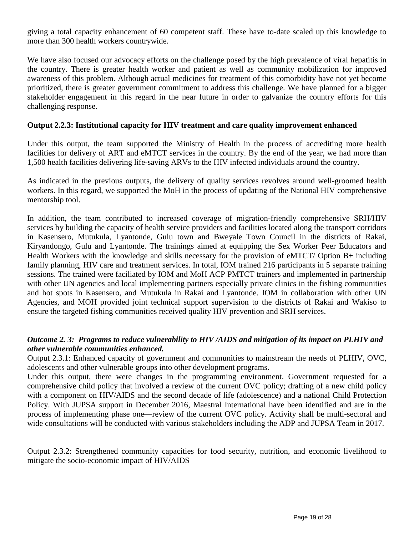giving a total capacity enhancement of 60 competent staff. These have to-date scaled up this knowledge to more than 300 health workers countrywide.

We have also focused our advocacy efforts on the challenge posed by the high prevalence of viral hepatitis in the country. There is greater health worker and patient as well as community mobilization for improved awareness of this problem. Although actual medicines for treatment of this comorbidity have not yet become prioritized, there is greater government commitment to address this challenge. We have planned for a bigger stakeholder engagement in this regard in the near future in order to galvanize the country efforts for this challenging response.

### **Output 2.2.3: Institutional capacity for HIV treatment and care quality improvement enhanced**

Under this output, the team supported the Ministry of Health in the process of accrediting more health facilities for delivery of ART and eMTCT services in the country. By the end of the year, we had more than 1,500 health facilities delivering life-saving ARVs to the HIV infected individuals around the country.

As indicated in the previous outputs, the delivery of quality services revolves around well-groomed health workers. In this regard, we supported the MoH in the process of updating of the National HIV comprehensive mentorship tool.

In addition, the team contributed to increased coverage of migration-friendly comprehensive SRH/HIV services by building the capacity of health service providers and facilities located along the transport corridors in Kasensero, Mutukula, Lyantonde, Gulu town and Bweyale Town Council in the districts of Rakai, Kiryandongo, Gulu and Lyantonde. The trainings aimed at equipping the Sex Worker Peer Educators and Health Workers with the knowledge and skills necessary for the provision of eMTCT/ Option B+ including family planning, HIV care and treatment services. In total, IOM trained 216 participants in 5 separate training sessions. The trained were faciliated by IOM and MoH ACP PMTCT trainers and implemented in partnership with other UN agencies and local implementing partners especially private clinics in the fishing communities and hot spots in Kasensero, and Mutukula in Rakai and Lyantonde. IOM in collaboration with other UN Agencies, and MOH provided joint technical support supervision to the districts of Rakai and Wakiso to ensure the targeted fishing communities received quality HIV prevention and SRH services.

# *Outcome 2. 3: Programs to reduce vulnerability to HIV /AIDS and mitigation of its impact on PLHIV and other vulnerable communities enhanced.*

Output 2.3.1: Enhanced capacity of government and communities to mainstream the needs of PLHIV, OVC, adolescents and other vulnerable groups into other development programs.

Under this output, there were changes in the programming environment. Government requested for a comprehensive child policy that involved a review of the current OVC policy; drafting of a new child policy with a component on HIV/AIDS and the second decade of life (adolescence) and a national Child Protection Policy. With JUPSA support in December 2016, Maestral International have been identified and are in the process of implementing phase one—review of the current OVC policy. Activity shall be multi-sectoral and wide consultations will be conducted with various stakeholders including the ADP and JUPSA Team in 2017.

Output 2.3.2: Strengthened community capacities for food security, nutrition, and economic livelihood to mitigate the socio-economic impact of HIV/AIDS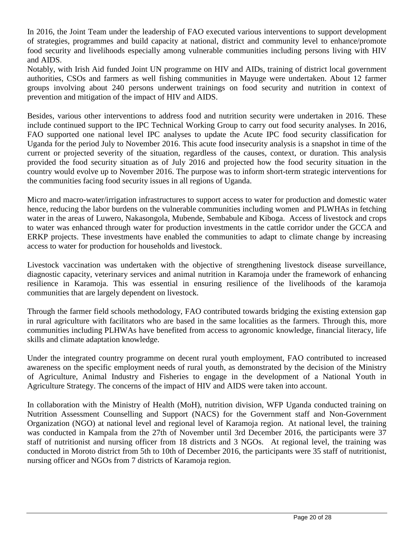In 2016, the Joint Team under the leadership of FAO executed various interventions to support development of strategies, programmes and build capacity at national, district and community level to enhance/promote food security and livelihoods especially among vulnerable communities including persons living with HIV and AIDS.

Notably, with Irish Aid funded Joint UN programme on HIV and AIDs, training of district local government authorities, CSOs and farmers as well fishing communities in Mayuge were undertaken. About 12 farmer groups involving about 240 persons underwent trainings on food security and nutrition in context of prevention and mitigation of the impact of HIV and AIDS.

Besides, various other interventions to address food and nutrition security were undertaken in 2016. These include continued support to the IPC Technical Working Group to carry out food security analyses. In 2016, FAO supported one national level IPC analyses to update the Acute IPC food security classification for Uganda for the period July to November 2016. This acute food insecurity analysis is a snapshot in time of the current or projected severity of the situation, regardless of the causes, context, or duration. This analysis provided the food security situation as of July 2016 and projected how the food security situation in the country would evolve up to November 2016. The purpose was to inform short-term strategic interventions for the communities facing food security issues in all regions of Uganda.

Micro and macro-water/irrigation infrastructures to support access to water for production and domestic water hence, reducing the labor burdens on the vulnerable communities including women and PLWHAs in fetching water in the areas of Luwero, Nakasongola, Mubende, Sembabule and Kiboga. Access of livestock and crops to water was enhanced through water for production investments in the cattle corridor under the GCCA and ERKP projects. These investments have enabled the communities to adapt to climate change by increasing access to water for production for households and livestock.

Livestock vaccination was undertaken with the objective of strengthening livestock disease surveillance, diagnostic capacity, veterinary services and animal nutrition in Karamoja under the framework of enhancing resilience in Karamoja. This was essential in ensuring resilience of the livelihoods of the karamoja communities that are largely dependent on livestock.

Through the farmer field schools methodology, FAO contributed towards bridging the existing extension gap in rural agriculture with facilitators who are based in the same localities as the farmers. Through this, more communities including PLHWAs have benefited from access to agronomic knowledge, financial literacy, life skills and climate adaptation knowledge.

Under the integrated country programme on decent rural youth employment, FAO contributed to increased awareness on the specific employment needs of rural youth, as demonstrated by the decision of the Ministry of Agriculture, Animal Industry and Fisheries to engage in the development of a National Youth in Agriculture Strategy. The concerns of the impact of HIV and AIDS were taken into account.

In collaboration with the Ministry of Health (MoH), nutrition division, WFP Uganda conducted training on Nutrition Assessment Counselling and Support (NACS) for the Government staff and Non-Government Organization (NGO) at national level and regional level of Karamoja region. At national level, the training was conducted in Kampala from the 27th of November until 3rd December 2016, the participants were 37 staff of nutritionist and nursing officer from 18 districts and 3 NGOs. At regional level, the training was conducted in Moroto district from 5th to 10th of December 2016, the participants were 35 staff of nutritionist, nursing officer and NGOs from 7 districts of Karamoja region.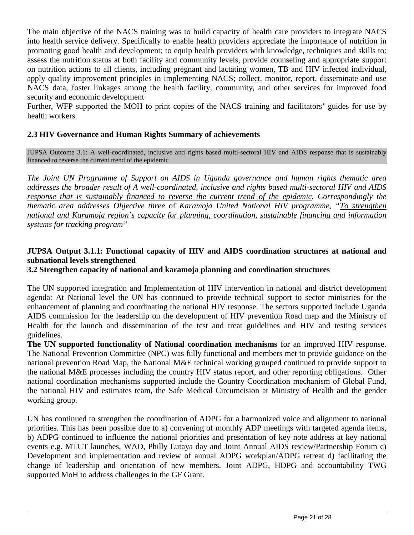The main objective of the NACS training was to build capacity of health care providers to integrate NACS into health service delivery. Specifically to enable health providers appreciate the importance of nutrition in promoting good health and development; to equip health providers with knowledge, techniques and skills to: assess the nutrition status at both facility and community levels, provide counseling and appropriate support on nutrition actions to all clients, including pregnant and lactating women, TB and HIV infected individual, apply quality improvement principles in implementing NACS; collect, monitor, report, disseminate and use NACS data, foster linkages among the health facility, community, and other services for improved food security and economic development

Further, WFP supported the MOH to print copies of the NACS training and facilitators' guides for use by health workers.

# **2.3 HIV Governance and Human Rights Summary of achievements**

JUPSA Outcome 3.1: A well-coordinated, inclusive and rights based multi-sectoral HIV and AIDS response that is sustainably financed to reverse the current trend of the epidemic

*The Joint UN Programme of Support on AIDS in Uganda governance and human rights thematic area addresses the broader result of A well-coordinated, inclusive and rights based multi-sectoral HIV and AIDS response that is sustainably financed to reverse the current trend of the epidemic. Correspondingly the thematic area addresses Objective three* of *Karamoja United National HIV programme, "To strengthen national and Karamoja region's capacity for planning, coordination, sustainable financing and information systems for tracking program"*

# **JUPSA Output 3.1.1: Functional capacity of HIV and AIDS coordination structures at national and subnational levels strengthened**

#### **3.2 Strengthen capacity of national and karamoja planning and coordination structures**

The UN supported integration and Implementation of HIV intervention in national and district development agenda: At National level the UN has continued to provide technical support to sector ministries for the enhancement of planning and coordinating the national HIV response. The sectors supported include Uganda AIDS commission for the leadership on the development of HIV prevention Road map and the Ministry of Health for the launch and dissemination of the test and treat guidelines and HIV and testing services guidelines.

**The UN supported functionality of National coordination mechanisms** for an improved HIV response. The National Prevention Committee (NPC) was fully functional and members met to provide guidance on the national prevention Road Map, the National M&E technical working grouped continued to provide support to the national M&E processes including the country HIV status report, and other reporting obligations. Other national coordination mechanisms supported include the Country Coordination mechanism of Global Fund, the national HIV and estimates team, the Safe Medical Circumcision at Ministry of Health and the gender working group.

UN has continued to strengthen the coordination of ADPG for a harmonized voice and alignment to national priorities. This has been possible due to a) convening of monthly ADP meetings with targeted agenda items, b) ADPG continued to influence the national priorities and presentation of key note address at key national events e.g. MTCT launches, WAD, Philly Lutaya day and Joint Annual AIDS review/Partnership Forum c) Development and implementation and review of annual ADPG workplan/ADPG retreat d) facilitating the change of leadership and orientation of new members. Joint ADPG, HDPG and accountability TWG supported MoH to address challenges in the GF Grant.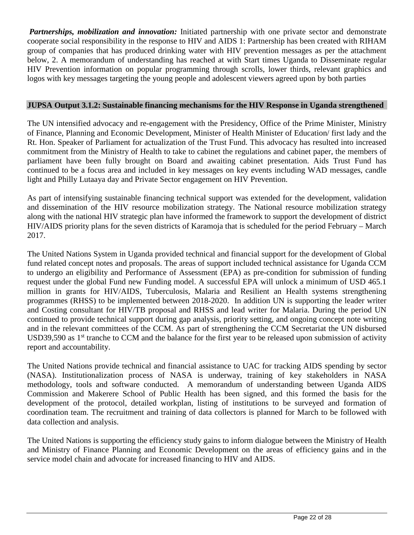*Partnerships, mobilization and innovation:* Initiated partnership with one private sector and demonstrate cooperate social responsibility in the response to HIV and AIDS 1: Partnership has been created with RIHAM group of companies that has produced drinking water with HIV prevention messages as per the attachment below, 2. A memorandum of understanding has reached at with Start times Uganda to Disseminate regular HIV Prevention information on popular programming through scrolls, lower thirds, relevant graphics and logos with key messages targeting the young people and adolescent viewers agreed upon by both parties

### **JUPSA Output 3.1.2: Sustainable financing mechanisms for the HIV Response in Uganda strengthened**

The UN intensified advocacy and re-engagement with the Presidency, Office of the Prime Minister, Ministry of Finance, Planning and Economic Development, Minister of Health Minister of Education/ first lady and the Rt. Hon. Speaker of Parliament for actualization of the Trust Fund. This advocacy has resulted into increased commitment from the Ministry of Health to take to cabinet the regulations and cabinet paper, the members of parliament have been fully brought on Board and awaiting cabinet presentation. Aids Trust Fund has continued to be a focus area and included in key messages on key events including WAD messages, candle light and Philly Lutaaya day and Private Sector engagement on HIV Prevention.

As part of intensifying sustainable financing technical support was extended for the development, validation and dissemination of the HIV resource mobilization strategy. The National resource mobilization strategy along with the national HIV strategic plan have informed the framework to support the development of district HIV/AIDS priority plans for the seven districts of Karamoja that is scheduled for the period February – March 2017.

The United Nations System in Uganda provided technical and financial support for the development of Global fund related concept notes and proposals. The areas of support included technical assistance for Uganda CCM to undergo an eligibility and Performance of Assessment (EPA) as pre-condition for submission of funding request under the global Fund new Funding model. A successful EPA will unlock a minimum of USD 465.1 million in grants for HIV/AIDS, Tuberculosis, Malaria and Resilient an Health systems strengthening programmes (RHSS) to be implemented between 2018-2020. In addition UN is supporting the leader writer and Costing consultant for HIV/TB proposal and RHSS and lead writer for Malaria. During the period UN continued to provide technical support during gap analysis, priority setting, and ongoing concept note writing and in the relevant committees of the CCM. As part of strengthening the CCM Secretariat the UN disbursed USD39,590 as 1<sup>st</sup> tranche to CCM and the balance for the first year to be released upon submission of activity report and accountability.

The United Nations provide technical and financial assistance to UAC for tracking AIDS spending by sector (NASA). Institutionalization process of NASA is underway, training of key stakeholders in NASA methodology, tools and software conducted. A memorandum of understanding between Uganda AIDS Commission and Makerere School of Public Health has been signed, and this formed the basis for the development of the protocol, detailed workplan, listing of institutions to be surveyed and formation of coordination team. The recruitment and training of data collectors is planned for March to be followed with data collection and analysis.

The United Nations is supporting the efficiency study gains to inform dialogue between the Ministry of Health and Ministry of Finance Planning and Economic Development on the areas of efficiency gains and in the service model chain and advocate for increased financing to HIV and AIDS.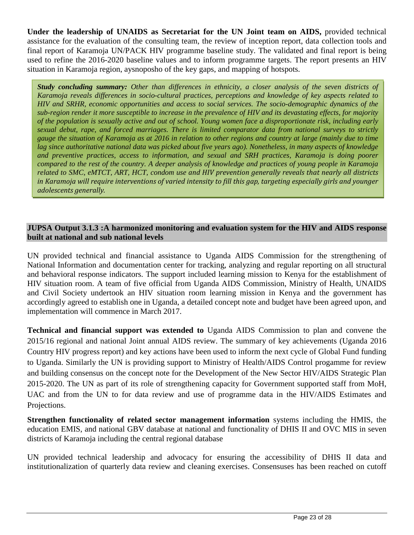**Under the leadership of UNAIDS as Secretariat for the UN Joint team on AIDS,** provided technical assistance for the evaluation of the consulting team, the review of inception report, data collection tools and final report of Karamoja UN/PACK HIV programme baseline study. The validated and final report is being used to refine the 2016-2020 baseline values and to inform programme targets. The report presents an HIV situation in Karamoja region, aysnoposho of the key gaps, and mapping of hotspots.

*Study concluding summary: Other than differences in ethnicity, a closer analysis of the seven districts of Karamoja reveals differences in socio-cultural practices, perceptions and knowledge of key aspects related to HIV and SRHR, economic opportunities and access to social services. The socio-demographic dynamics of the sub-region render it more susceptible to increase in the prevalence of HIV and its devastating effects, for majority of the population is sexually active and out of school. Young women face a disproportionate risk, including early sexual debut, rape, and forced marriages. There is limited comparator data from national surveys to strictly gauge the situation of Karamoja as at 2016 in relation to other regions and country at large (mainly due to time lag since authoritative national data was picked about five years ago). Nonetheless, in many aspects of knowledge and preventive practices, access to information, and sexual and SRH practices, Karamoja is doing poorer compared to the rest of the country. A deeper analysis of knowledge and practices of young people in Karamoja related to SMC, eMTCT, ART, HCT, condom use and HIV prevention generally reveals that nearly all districts in Karamoja will require interventions of varied intensity to fill this gap, targeting especially girls and younger adolescents generally.*

### **JUPSA Output 3.1.3 :A harmonized monitoring and evaluation system for the HIV and AIDS response built at national and sub national levels**

UN provided technical and financial assistance to Uganda AIDS Commission for the strengthening of National Information and documentation center for tracking, analyzing and regular reporting on all structural and behavioral response indicators. The support included learning mission to Kenya for the establishment of HIV situation room. A team of five official from Uganda AIDS Commission, Ministry of Health, UNAIDS and Civil Society undertook an HIV situation room learning mission in Kenya and the government has accordingly agreed to establish one in Uganda, a detailed concept note and budget have been agreed upon, and implementation will commence in March 2017.

**Technical and financial support was extended to** Uganda AIDS Commission to plan and convene the 2015/16 regional and national Joint annual AIDS review. The summary of key achievements (Uganda 2016 Country HIV progress report) and key actions have been used to inform the next cycle of Global Fund funding to Uganda. Similarly the UN is providing support to Ministry of Health/AIDS Control progamme for review and building consensus on the concept note for the Development of the New Sector HIV/AIDS Strategic Plan 2015-2020. The UN as part of its role of strengthening capacity for Government supported staff from MoH, UAC and from the UN to for data review and use of programme data in the HIV/AIDS Estimates and Projections.

**Strengthen functionality of related sector management information** systems including the HMIS, the education EMIS, and national GBV database at national and functionality of DHIS II and OVC MIS in seven districts of Karamoja including the central regional database

UN provided technical leadership and advocacy for ensuring the accessibility of DHIS II data and institutionalization of quarterly data review and cleaning exercises. Consensuses has been reached on cutoff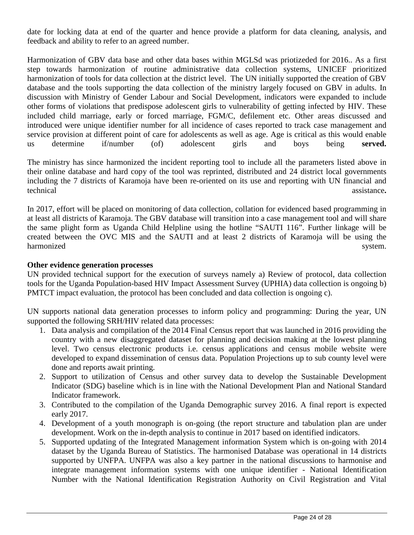date for locking data at end of the quarter and hence provide a platform for data cleaning, analysis, and feedback and ability to refer to an agreed number.

Harmonization of GBV data base and other data bases within MGLSd was priotizeded for 2016.. As a first step towards harmonization of routine administrative data collection systems, UNICEF prioritized harmonization of tools for data collection at the district level. The UN initially supported the creation of GBV database and the tools supporting the data collection of the ministry largely focused on GBV in adults. In discussion with Ministry of Gender Labour and Social Development, indicators were expanded to include other forms of violations that predispose adolescent girls to vulnerability of getting infected by HIV. These included child marriage, early or forced marriage, FGM/C, defilement etc. Other areas discussed and introduced were unique identifier number for all incidence of cases reported to track case management and service provision at different point of care for adolescents as well as age. Age is critical as this would enable us determine if/number (of) adolescent girls and boys being **served.**

The ministry has since harmonized the incident reporting tool to include all the parameters listed above in their online database and hard copy of the tool was reprinted, distributed and 24 district local governments including the 7 districts of Karamoja have been re-oriented on its use and reporting with UN financial and technical assistance**.**

In 2017, effort will be placed on monitoring of data collection, collation for evidenced based programming in at least all districts of Karamoja. The GBV database will transition into a case management tool and will share the same plight form as Uganda Child Helpline using the hotline "SAUTI 116". Further linkage will be created between the OVC MIS and the SAUTI and at least 2 districts of Karamoja will be using the harmonized system.

### **Other evidence generation processes**

UN provided technical support for the execution of surveys namely a) Review of protocol, data collection tools for the Uganda Population-based HIV Impact Assessment Survey (UPHIA) data collection is ongoing b) PMTCT impact evaluation, the protocol has been concluded and data collection is ongoing c).

UN supports national data generation processes to inform policy and programming: During the year, UN supported the following SRH/HIV related data processes:

- 1. Data analysis and compilation of the 2014 Final Census report that was launched in 2016 providing the country with a new disaggregated dataset for planning and decision making at the lowest planning level. Two census electronic products i.e. census applications and census mobile website were developed to expand dissemination of census data. Population Projections up to sub county level were done and reports await printing.
- 2. Support to utilization of Census and other survey data to develop the Sustainable Development Indicator (SDG) baseline which is in line with the National Development Plan and National Standard Indicator framework.
- 3. Contributed to the compilation of the Uganda Demographic survey 2016. A final report is expected early 2017.
- 4. Development of a youth monograph is on-going (the report structure and tabulation plan are under development. Work on the in-depth analysis to continue in 2017 based on identified indicators.
- 5. Supported updating of the Integrated Management information System which is on-going with 2014 dataset by the Uganda Bureau of Statistics. The harmonised Database was operational in 14 districts supported by UNFPA. UNFPA was also a key partner in the national discussions to harmonise and integrate management information systems with one unique identifier - National Identification Number with the National Identification Registration Authority on Civil Registration and Vital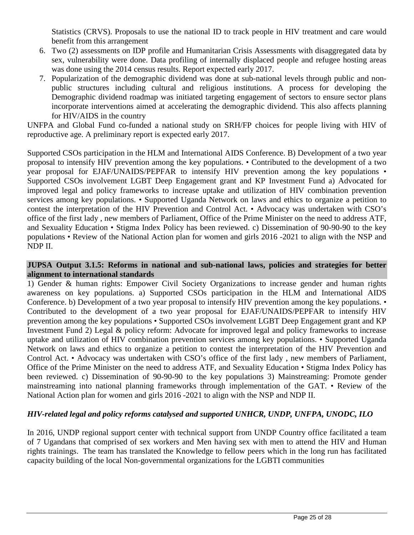Statistics (CRVS). Proposals to use the national ID to track people in HIV treatment and care would benefit from this arrangement

- 6. Two (2) assessments on IDP profile and Humanitarian Crisis Assessments with disaggregated data by sex, vulnerability were done. Data profiling of internally displaced people and refugee hosting areas was done using the 2014 census results. Report expected early 2017.
- 7. Popularization of the demographic dividend was done at sub-national levels through public and nonpublic structures including cultural and religious institutions. A process for developing the Demographic dividend roadmap was initiated targeting engagement of sectors to ensure sector plans incorporate interventions aimed at accelerating the demographic dividend. This also affects planning for HIV/AIDS in the country

UNFPA and Global Fund co-funded a national study on SRH/FP choices for people living with HIV of reproductive age. A preliminary report is expected early 2017.

Supported CSOs participation in the HLM and International AIDS Conference. B) Development of a two year proposal to intensify HIV prevention among the key populations. • Contributed to the development of a two year proposal for EJAF/UNAIDS/PEPFAR to intensify HIV prevention among the key populations • Supported CSOs involvement LGBT Deep Engagement grant and KP Investment Fund a) Advocated for improved legal and policy frameworks to increase uptake and utilization of HIV combination prevention services among key populations. • Supported Uganda Network on laws and ethics to organize a petition to contest the interpretation of the HIV Prevention and Control Act. • Advocacy was undertaken with CSO's office of the first lady , new members of Parliament, Office of the Prime Minister on the need to address ATF, and Sexuality Education • Stigma Index Policy has been reviewed. c) Dissemination of 90-90-90 to the key populations • Review of the National Action plan for women and girls 2016 -2021 to align with the NSP and NDP II.

### **JUPSA Output 3.1.5: Reforms in national and sub-national laws, policies and strategies for better alignment to international standards**

1) Gender & human rights: Empower Civil Society Organizations to increase gender and human rights awareness on key populations. a) Supported CSOs participation in the HLM and International AIDS Conference. b) Development of a two year proposal to intensify HIV prevention among the key populations. • Contributed to the development of a two year proposal for EJAF/UNAIDS/PEPFAR to intensify HIV prevention among the key populations • Supported CSOs involvement LGBT Deep Engagement grant and KP Investment Fund 2) Legal & policy reform: Advocate for improved legal and policy frameworks to increase uptake and utilization of HIV combination prevention services among key populations. • Supported Uganda Network on laws and ethics to organize a petition to contest the interpretation of the HIV Prevention and Control Act. • Advocacy was undertaken with CSO's office of the first lady , new members of Parliament, Office of the Prime Minister on the need to address ATF, and Sexuality Education • Stigma Index Policy has been reviewed. c) Dissemination of 90-90-90 to the key populations 3) Mainstreaming: Promote gender mainstreaming into national planning frameworks through implementation of the GAT. • Review of the National Action plan for women and girls 2016 -2021 to align with the NSP and NDP II.

# *HIV-related legal and policy reforms catalysed and supported UNHCR, UNDP, UNFPA, UNODC, ILO*

In 2016, UNDP regional support center with technical support from UNDP Country office facilitated a team of 7 Ugandans that comprised of sex workers and Men having sex with men to attend the HIV and Human rights trainings. The team has translated the Knowledge to fellow peers which in the long run has facilitated capacity building of the local Non-governmental organizations for the LGBTI communities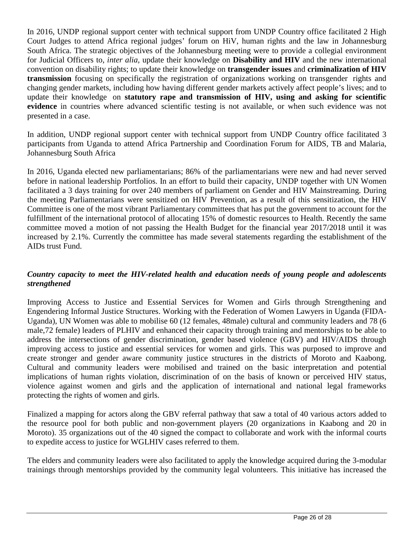In 2016, UNDP regional support center with technical support from UNDP Country office facilitated 2 High Court Judges to attend Africa regional judges' forum on HiV, human rights and the law in Johannesburg South Africa. The strategic objectives of the Johannesburg meeting were to provide a collegial environment for Judicial Officers to, *inter alia,* update their knowledge on **Disability and HIV** and the new international convention on disability rights; to update their knowledge on **transgender issues** and **criminalization of HIV transmission** focusing on specifically the registration of organizations working on transgender rights and changing gender markets, including how having different gender markets actively affect people's lives; and to update their knowledge on **statutory rape and transmission of HIV, using and asking for scientific evidence** in countries where advanced scientific testing is not available, or when such evidence was not presented in a case.

In addition, UNDP regional support center with technical support from UNDP Country office facilitated 3 participants from Uganda to attend Africa Partnership and Coordination Forum for AIDS, TB and Malaria, Johannesburg South Africa

In 2016, Uganda elected new parliamentarians; 86% of the parliamentarians were new and had never served before in national leadership Portfolios. In an effort to build their capacity, UNDP together with UN Women facilitated a 3 days training for over 240 members of parliament on Gender and HIV Mainstreaming. During the meeting Parliamentarians were sensitized on HIV Prevention, as a result of this sensitization, the HIV Committee is one of the most vibrant Parliamentary committees that has put the government to account for the fulfillment of the international protocol of allocating 15% of domestic resources to Health. Recently the same committee moved a motion of not passing the Health Budget for the financial year 2017/2018 until it was increased by 2.1%. Currently the committee has made several statements regarding the establishment of the AIDs trust Fund.

# *Country capacity to meet the HIV-related health and education needs of young people and adolescents strengthened*

Improving Access to Justice and Essential Services for Women and Girls through Strengthening and Engendering Informal Justice Structures. Working with the Federation of Women Lawyers in Uganda (FIDA-Uganda), UN Women was able to mobilise 60 (12 females, 48male) cultural and community leaders and 78 (6 male,72 female) leaders of PLHIV and enhanced their capacity through training and mentorships to be able to address the intersections of gender discrimination, gender based violence (GBV) and HIV/AIDS through improving access to justice and essential services for women and girls. This was purposed to improve and create stronger and gender aware community justice structures in the districts of Moroto and Kaabong. Cultural and community leaders were mobilised and trained on the basic interpretation and potential implications of human rights violation, discrimination of on the basis of known or perceived HIV status, violence against women and girls and the application of international and national legal frameworks protecting the rights of women and girls.

Finalized a mapping for actors along the GBV referral pathway that saw a total of 40 various actors added to the resource pool for both public and non-government players (20 organizations in Kaabong and 20 in Moroto). 35 organizations out of the 40 signed the compact to collaborate and work with the informal courts to expedite access to justice for WGLHIV cases referred to them.

The elders and community leaders were also facilitated to apply the knowledge acquired during the 3-modular trainings through mentorships provided by the community legal volunteers. This initiative has increased the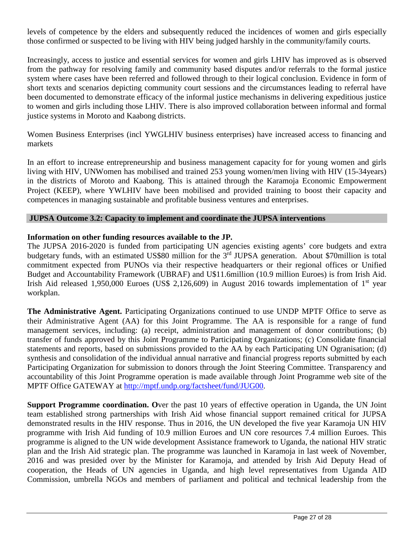levels of competence by the elders and subsequently reduced the incidences of women and girls especially those confirmed or suspected to be living with HIV being judged harshly in the community/family courts.

Increasingly, access to justice and essential services for women and girls LHIV has improved as is observed from the pathway for resolving family and community based disputes and/or referrals to the formal justice system where cases have been referred and followed through to their logical conclusion. Evidence in form of short texts and scenarios depicting community court sessions and the circumstances leading to referral have been documented to demonstrate efficacy of the informal justice mechanisms in delivering expeditious justice to women and girls including those LHIV. There is also improved collaboration between informal and formal justice systems in Moroto and Kaabong districts.

Women Business Enterprises (incl YWGLHIV business enterprises) have increased access to financing and markets

In an effort to increase entrepreneurship and business management capacity for for young women and girls living with HIV, UNWomen has mobilised and trained 253 young women/men living with HIV (15-34years) in the districts of Moroto and Kaabong. This is attained through the Karamoja Economic Empowerment Project (KEEP), where YWLHIV have been mobilised and provided training to boost their capacity and competences in managing sustainable and profitable business ventures and enterprises.

#### **JUPSA Outcome 3.2: Capacity to implement and coordinate the JUPSA interventions**

### **Information on other funding resources available to the JP.**

The JUPSA 2016-2020 is funded from participating UN agencies existing agents' core budgets and extra budgetary funds, with an estimated US\$80 million for the 3<sup>rd</sup> JUPSA generation. About \$70million is total commitment expected from PUNOs via their respective headquarters or their regional offices or Unified Budget and Accountability Framework (UBRAF) and U\$11.6million (10.9 million Euroes) is from Irish Aid. Irish Aid released 1,950,000 Euroes (US\$ 2,126,609) in August 2016 towards implementation of  $1<sup>st</sup>$  year workplan.

**The Administrative Agent.** Participating Organizations continued to use UNDP MPTF Office to serve as their Administrative Agent (AA) for this Joint Programme. The AA is responsible for a range of fund management services, including: (a) receipt, administration and management of donor contributions; (b) transfer of funds approved by this Joint Programme to Participating Organizations; (c) Consolidate financial statements and reports, based on submissions provided to the AA by each Participating UN Ogranisation; (d) synthesis and consolidation of the individual annual narrative and financial progress reports submitted by each Participating Organization for submission to donors through the Joint Steering Committee. Transparency and accountability of this Joint Programme operation is made available through Joint Programme web site of the MPTF Office GATEWAY at [http://mptf.undp.org/factsheet/fund/JUG00.](http://mptf.undp.org/factsheet/fund/JUG00)

**Support Programme coordination. O**ver the past 10 years of effective operation in Uganda, the UN Joint team established strong partnerships with Irish Aid whose financial support remained critical for JUPSA demonstrated results in the HIV response. Thus in 2016, the UN developed the five year Karamoja UN HIV programme with Irish Aid funding of 10.9 million Euroes and UN core resources 7.4 million Euroes. This programme is aligned to the UN wide development Assistance framework to Uganda, the national HIV stratic plan and the Irish Aid strategic plan. The programme was launched in Karamoja in last week of November, 2016 and was presided over by the Minister for Karamoja, and attended by Irish Aid Deputy Head of cooperation, the Heads of UN agencies in Uganda, and high level representatives from Uganda AID Commission, umbrella NGOs and members of parliament and political and technical leadership from the